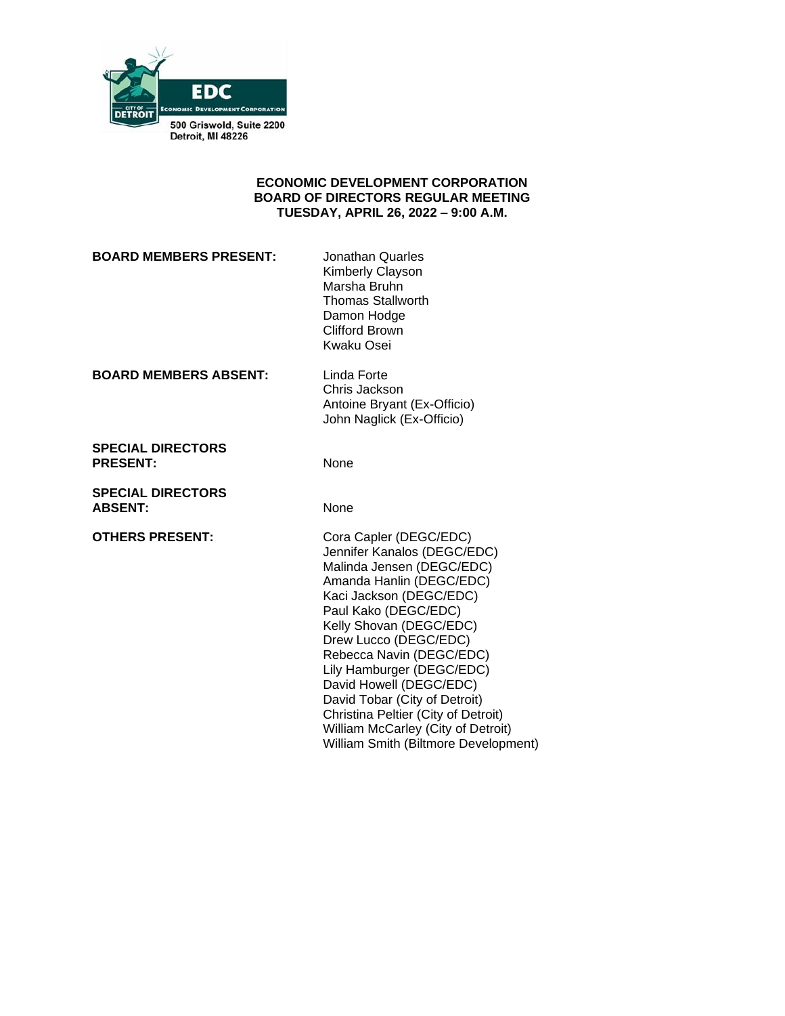

#### **ECONOMIC DEVELOPMENT CORPORATION BOARD OF DIRECTORS REGULAR MEETING TUESDAY, APRIL 26, 2022 – 9:00 A.M.**

**BOARD MEMBERS PRESENT:** Jonathan Quarles

Kimberly Clayson Marsha Bruhn Thomas Stallworth Damon Hodge Clifford Brown Kwaku Osei

**BOARD MEMBERS ABSENT:** Linda Forte

Chris Jackson Antoine Bryant (Ex-Officio) John Naglick (Ex-Officio)

**SPECIAL DIRECTORS** PRESENT: None

**SPECIAL DIRECTORS** ABSENT: None

**OTHERS PRESENT:** Cora Capler (DEGC/EDC) Jennifer Kanalos (DEGC/EDC) Malinda Jensen (DEGC/EDC) Amanda Hanlin (DEGC/EDC) Kaci Jackson (DEGC/EDC) Paul Kako (DEGC/EDC) Kelly Shovan (DEGC/EDC) Drew Lucco (DEGC/EDC) Rebecca Navin (DEGC/EDC) Lily Hamburger (DEGC/EDC) David Howell (DEGC/EDC) David Tobar (City of Detroit) Christina Peltier (City of Detroit) William McCarley (City of Detroit) William Smith (Biltmore Development)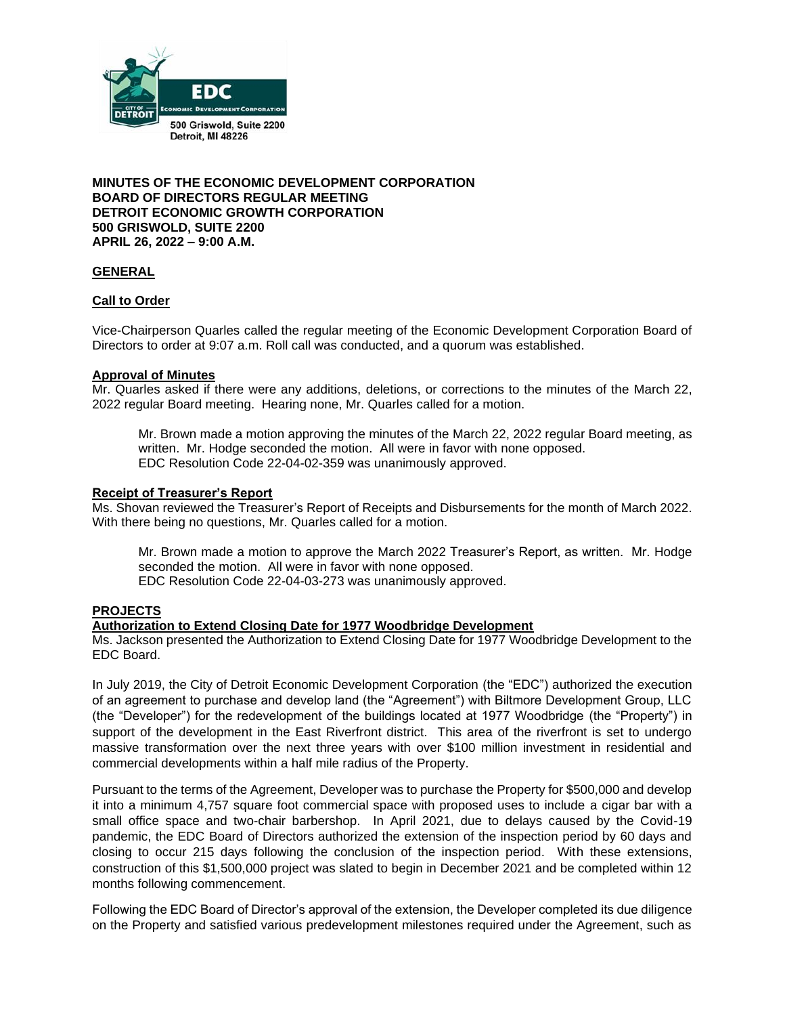

**MINUTES OF THE ECONOMIC DEVELOPMENT CORPORATION BOARD OF DIRECTORS REGULAR MEETING DETROIT ECONOMIC GROWTH CORPORATION 500 GRISWOLD, SUITE 2200 APRIL 26, 2022 – 9:00 A.M.**

#### **GENERAL**

### **Call to Order**

Vice-Chairperson Quarles called the regular meeting of the Economic Development Corporation Board of Directors to order at 9:07 a.m. Roll call was conducted, and a quorum was established.

#### **Approval of Minutes**

Mr. Quarles asked if there were any additions, deletions, or corrections to the minutes of the March 22, 2022 regular Board meeting. Hearing none, Mr. Quarles called for a motion.

Mr. Brown made a motion approving the minutes of the March 22, 2022 regular Board meeting, as written. Mr. Hodge seconded the motion. All were in favor with none opposed. EDC Resolution Code 22-04-02-359 was unanimously approved.

#### **Receipt of Treasurer's Report**

Ms. Shovan reviewed the Treasurer's Report of Receipts and Disbursements for the month of March 2022. With there being no questions, Mr. Quarles called for a motion.

Mr. Brown made a motion to approve the March 2022 Treasurer's Report, as written. Mr. Hodge seconded the motion. All were in favor with none opposed. EDC Resolution Code 22-04-03-273 was unanimously approved.

#### **PROJECTS**

#### **Authorization to Extend Closing Date for 1977 Woodbridge Development**

Ms. Jackson presented the Authorization to Extend Closing Date for 1977 Woodbridge Development to the EDC Board.

In July 2019, the City of Detroit Economic Development Corporation (the "EDC") authorized the execution of an agreement to purchase and develop land (the "Agreement") with Biltmore Development Group, LLC (the "Developer") for the redevelopment of the buildings located at 1977 Woodbridge (the "Property") in support of the development in the East Riverfront district. This area of the riverfront is set to undergo massive transformation over the next three years with over \$100 million investment in residential and commercial developments within a half mile radius of the Property.

Pursuant to the terms of the Agreement, Developer was to purchase the Property for \$500,000 and develop it into a minimum 4,757 square foot commercial space with proposed uses to include a cigar bar with a small office space and two-chair barbershop. In April 2021, due to delays caused by the Covid-19 pandemic, the EDC Board of Directors authorized the extension of the inspection period by 60 days and closing to occur 215 days following the conclusion of the inspection period. With these extensions, construction of this \$1,500,000 project was slated to begin in December 2021 and be completed within 12 months following commencement.

Following the EDC Board of Director's approval of the extension, the Developer completed its due diligence on the Property and satisfied various predevelopment milestones required under the Agreement, such as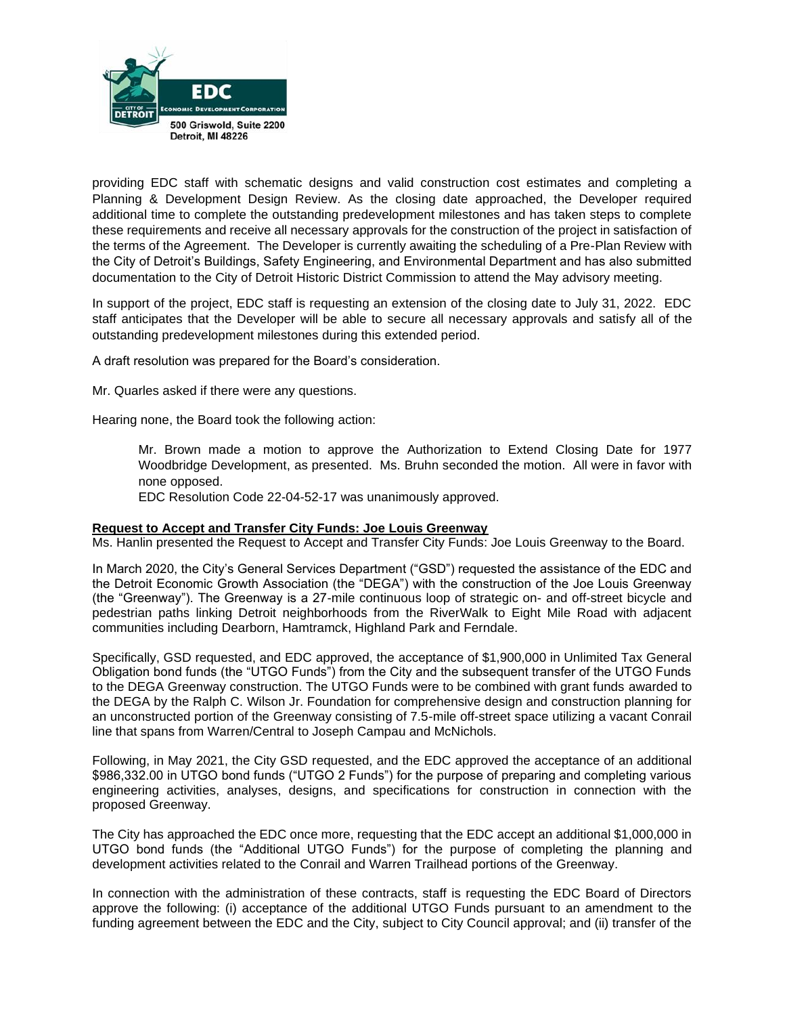

providing EDC staff with schematic designs and valid construction cost estimates and completing a Planning & Development Design Review. As the closing date approached, the Developer required additional time to complete the outstanding predevelopment milestones and has taken steps to complete these requirements and receive all necessary approvals for the construction of the project in satisfaction of the terms of the Agreement. The Developer is currently awaiting the scheduling of a Pre-Plan Review with the City of Detroit's Buildings, Safety Engineering, and Environmental Department and has also submitted documentation to the City of Detroit Historic District Commission to attend the May advisory meeting.

In support of the project, EDC staff is requesting an extension of the closing date to July 31, 2022. EDC staff anticipates that the Developer will be able to secure all necessary approvals and satisfy all of the outstanding predevelopment milestones during this extended period.

A draft resolution was prepared for the Board's consideration.

Mr. Quarles asked if there were any questions.

Hearing none, the Board took the following action:

Mr. Brown made a motion to approve the Authorization to Extend Closing Date for 1977 Woodbridge Development, as presented. Ms. Bruhn seconded the motion. All were in favor with none opposed.

EDC Resolution Code 22-04-52-17 was unanimously approved.

#### **Request to Accept and Transfer City Funds: Joe Louis Greenway**

Ms. Hanlin presented the Request to Accept and Transfer City Funds: Joe Louis Greenway to the Board.

In March 2020, the City's General Services Department ("GSD") requested the assistance of the EDC and the Detroit Economic Growth Association (the "DEGA") with the construction of the Joe Louis Greenway (the "Greenway"). The Greenway is a 27-mile continuous loop of strategic on- and off-street bicycle and pedestrian paths linking Detroit neighborhoods from the RiverWalk to Eight Mile Road with adjacent communities including Dearborn, Hamtramck, Highland Park and Ferndale.

Specifically, GSD requested, and EDC approved, the acceptance of \$1,900,000 in Unlimited Tax General Obligation bond funds (the "UTGO Funds") from the City and the subsequent transfer of the UTGO Funds to the DEGA Greenway construction. The UTGO Funds were to be combined with grant funds awarded to the DEGA by the Ralph C. Wilson Jr. Foundation for comprehensive design and construction planning for an unconstructed portion of the Greenway consisting of 7.5-mile off-street space utilizing a vacant Conrail line that spans from Warren/Central to Joseph Campau and McNichols.

Following, in May 2021, the City GSD requested, and the EDC approved the acceptance of an additional \$986,332.00 in UTGO bond funds ("UTGO 2 Funds") for the purpose of preparing and completing various engineering activities, analyses, designs, and specifications for construction in connection with the proposed Greenway.

The City has approached the EDC once more, requesting that the EDC accept an additional \$1,000,000 in UTGO bond funds (the "Additional UTGO Funds") for the purpose of completing the planning and development activities related to the Conrail and Warren Trailhead portions of the Greenway.

In connection with the administration of these contracts, staff is requesting the EDC Board of Directors approve the following: (i) acceptance of the additional UTGO Funds pursuant to an amendment to the funding agreement between the EDC and the City, subject to City Council approval; and (ii) transfer of the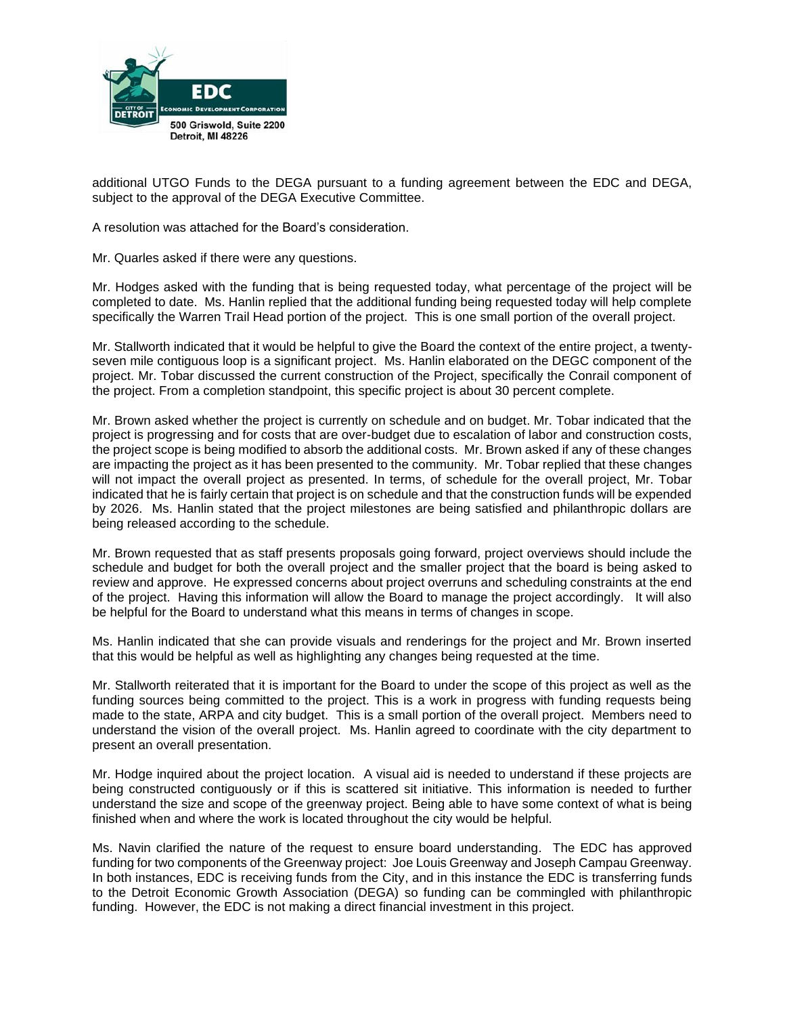

additional UTGO Funds to the DEGA pursuant to a funding agreement between the EDC and DEGA, subject to the approval of the DEGA Executive Committee.

A resolution was attached for the Board's consideration.

Mr. Quarles asked if there were any questions.

Mr. Hodges asked with the funding that is being requested today, what percentage of the project will be completed to date. Ms. Hanlin replied that the additional funding being requested today will help complete specifically the Warren Trail Head portion of the project. This is one small portion of the overall project.

Mr. Stallworth indicated that it would be helpful to give the Board the context of the entire project, a twentyseven mile contiguous loop is a significant project. Ms. Hanlin elaborated on the DEGC component of the project. Mr. Tobar discussed the current construction of the Project, specifically the Conrail component of the project. From a completion standpoint, this specific project is about 30 percent complete.

Mr. Brown asked whether the project is currently on schedule and on budget. Mr. Tobar indicated that the project is progressing and for costs that are over-budget due to escalation of labor and construction costs, the project scope is being modified to absorb the additional costs. Mr. Brown asked if any of these changes are impacting the project as it has been presented to the community. Mr. Tobar replied that these changes will not impact the overall project as presented. In terms, of schedule for the overall project, Mr. Tobar indicated that he is fairly certain that project is on schedule and that the construction funds will be expended by 2026. Ms. Hanlin stated that the project milestones are being satisfied and philanthropic dollars are being released according to the schedule.

Mr. Brown requested that as staff presents proposals going forward, project overviews should include the schedule and budget for both the overall project and the smaller project that the board is being asked to review and approve. He expressed concerns about project overruns and scheduling constraints at the end of the project. Having this information will allow the Board to manage the project accordingly. It will also be helpful for the Board to understand what this means in terms of changes in scope.

Ms. Hanlin indicated that she can provide visuals and renderings for the project and Mr. Brown inserted that this would be helpful as well as highlighting any changes being requested at the time.

Mr. Stallworth reiterated that it is important for the Board to under the scope of this project as well as the funding sources being committed to the project. This is a work in progress with funding requests being made to the state, ARPA and city budget. This is a small portion of the overall project. Members need to understand the vision of the overall project. Ms. Hanlin agreed to coordinate with the city department to present an overall presentation.

Mr. Hodge inquired about the project location. A visual aid is needed to understand if these projects are being constructed contiguously or if this is scattered sit initiative. This information is needed to further understand the size and scope of the greenway project. Being able to have some context of what is being finished when and where the work is located throughout the city would be helpful.

Ms. Navin clarified the nature of the request to ensure board understanding. The EDC has approved funding for two components of the Greenway project: Joe Louis Greenway and Joseph Campau Greenway. In both instances, EDC is receiving funds from the City, and in this instance the EDC is transferring funds to the Detroit Economic Growth Association (DEGA) so funding can be commingled with philanthropic funding. However, the EDC is not making a direct financial investment in this project.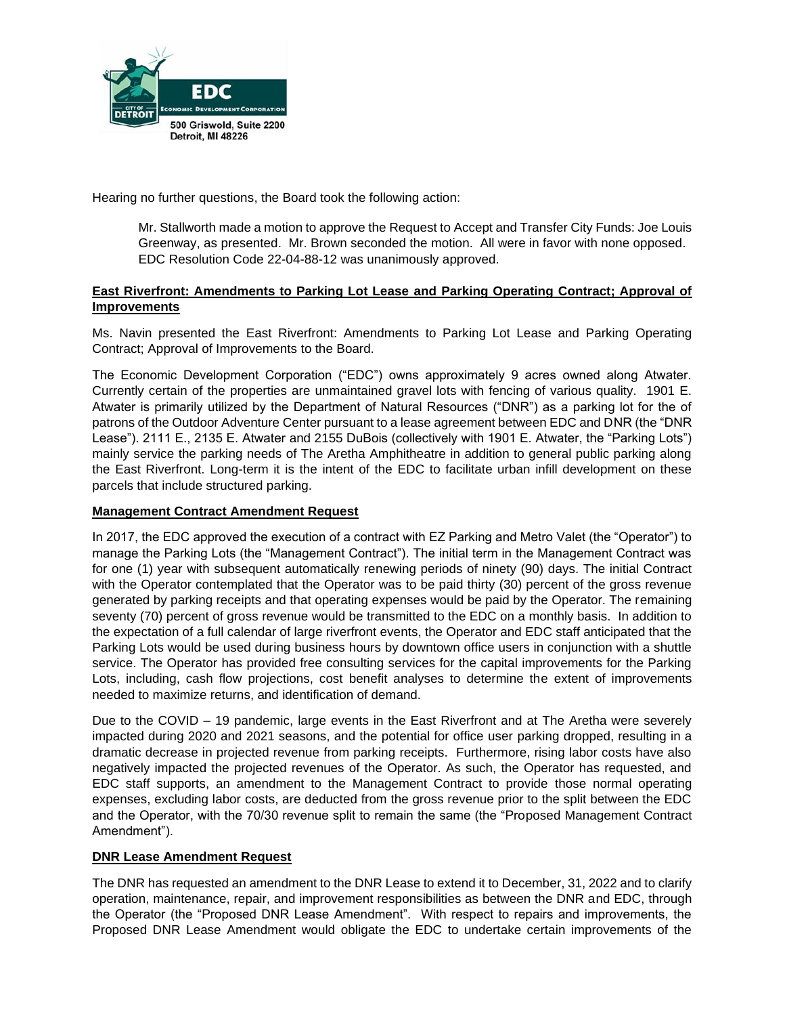

Hearing no further questions, the Board took the following action:

Mr. Stallworth made a motion to approve the Request to Accept and Transfer City Funds: Joe Louis Greenway, as presented. Mr. Brown seconded the motion. All were in favor with none opposed. EDC Resolution Code 22-04-88-12 was unanimously approved.

## **East Riverfront: Amendments to Parking Lot Lease and Parking Operating Contract; Approval of Improvements**

Ms. Navin presented the East Riverfront: Amendments to Parking Lot Lease and Parking Operating Contract; Approval of Improvements to the Board.

The Economic Development Corporation ("EDC") owns approximately 9 acres owned along Atwater. Currently certain of the properties are unmaintained gravel lots with fencing of various quality. 1901 E. Atwater is primarily utilized by the Department of Natural Resources ("DNR") as a parking lot for the of patrons of the Outdoor Adventure Center pursuant to a lease agreement between EDC and DNR (the "DNR Lease"). 2111 E., 2135 E. Atwater and 2155 DuBois (collectively with 1901 E. Atwater, the "Parking Lots") mainly service the parking needs of The Aretha Amphitheatre in addition to general public parking along the East Riverfront. Long-term it is the intent of the EDC to facilitate urban infill development on these parcels that include structured parking.

## **Management Contract Amendment Request**

In 2017, the EDC approved the execution of a contract with EZ Parking and Metro Valet (the "Operator") to manage the Parking Lots (the "Management Contract"). The initial term in the Management Contract was for one (1) year with subsequent automatically renewing periods of ninety (90) days. The initial Contract with the Operator contemplated that the Operator was to be paid thirty (30) percent of the gross revenue generated by parking receipts and that operating expenses would be paid by the Operator. The remaining seventy (70) percent of gross revenue would be transmitted to the EDC on a monthly basis. In addition to the expectation of a full calendar of large riverfront events, the Operator and EDC staff anticipated that the Parking Lots would be used during business hours by downtown office users in conjunction with a shuttle service. The Operator has provided free consulting services for the capital improvements for the Parking Lots, including, cash flow projections, cost benefit analyses to determine the extent of improvements needed to maximize returns, and identification of demand.

Due to the COVID – 19 pandemic, large events in the East Riverfront and at The Aretha were severely impacted during 2020 and 2021 seasons, and the potential for office user parking dropped, resulting in a dramatic decrease in projected revenue from parking receipts. Furthermore, rising labor costs have also negatively impacted the projected revenues of the Operator. As such, the Operator has requested, and EDC staff supports, an amendment to the Management Contract to provide those normal operating expenses, excluding labor costs, are deducted from the gross revenue prior to the split between the EDC and the Operator, with the 70/30 revenue split to remain the same (the "Proposed Management Contract Amendment").

## **DNR Lease Amendment Request**

The DNR has requested an amendment to the DNR Lease to extend it to December, 31, 2022 and to clarify operation, maintenance, repair, and improvement responsibilities as between the DNR and EDC, through the Operator (the "Proposed DNR Lease Amendment". With respect to repairs and improvements, the Proposed DNR Lease Amendment would obligate the EDC to undertake certain improvements of the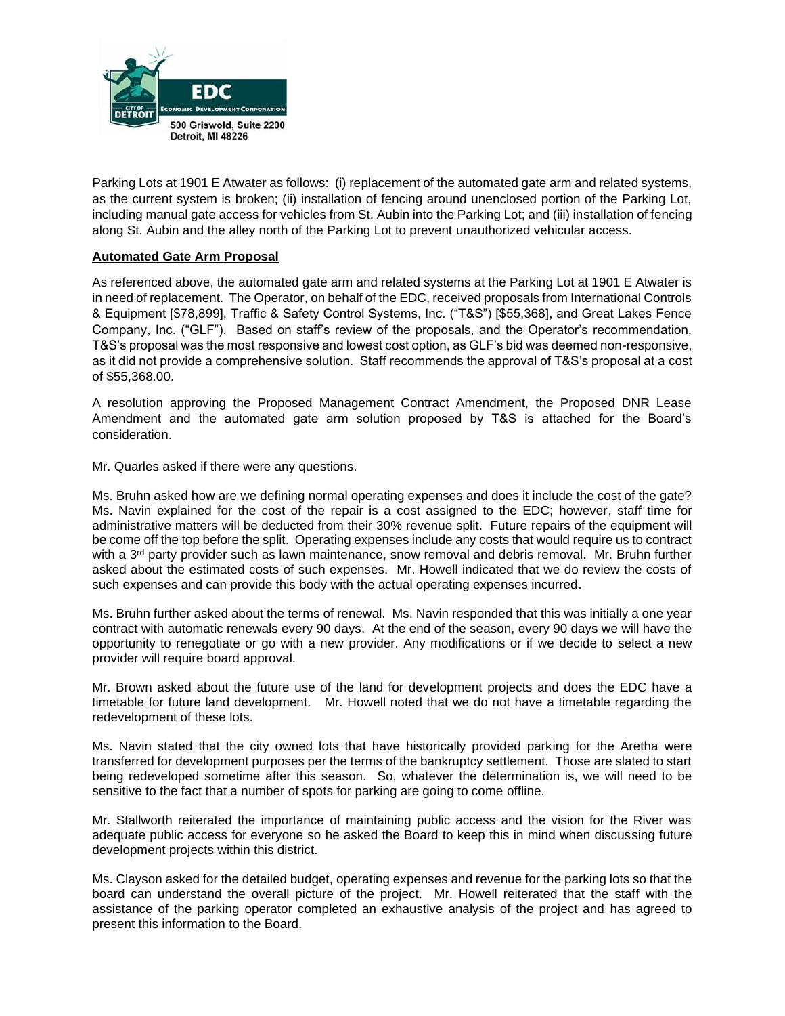

Parking Lots at 1901 E Atwater as follows: (i) replacement of the automated gate arm and related systems, as the current system is broken; (ii) installation of fencing around unenclosed portion of the Parking Lot, including manual gate access for vehicles from St. Aubin into the Parking Lot; and (iii) installation of fencing along St. Aubin and the alley north of the Parking Lot to prevent unauthorized vehicular access.

### **Automated Gate Arm Proposal**

As referenced above, the automated gate arm and related systems at the Parking Lot at 1901 E Atwater is in need of replacement. The Operator, on behalf of the EDC, received proposals from International Controls & Equipment [\$78,899], Traffic & Safety Control Systems, Inc. ("T&S") [\$55,368], and Great Lakes Fence Company, Inc. ("GLF"). Based on staff's review of the proposals, and the Operator's recommendation, T&S's proposal was the most responsive and lowest cost option, as GLF's bid was deemed non-responsive, as it did not provide a comprehensive solution. Staff recommends the approval of T&S's proposal at a cost of \$55,368.00.

A resolution approving the Proposed Management Contract Amendment, the Proposed DNR Lease Amendment and the automated gate arm solution proposed by T&S is attached for the Board's consideration.

Mr. Quarles asked if there were any questions.

Ms. Bruhn asked how are we defining normal operating expenses and does it include the cost of the gate? Ms. Navin explained for the cost of the repair is a cost assigned to the EDC; however, staff time for administrative matters will be deducted from their 30% revenue split. Future repairs of the equipment will be come off the top before the split. Operating expenses include any costs that would require us to contract with a  $3<sup>rd</sup>$  party provider such as lawn maintenance, snow removal and debris removal. Mr. Bruhn further asked about the estimated costs of such expenses. Mr. Howell indicated that we do review the costs of such expenses and can provide this body with the actual operating expenses incurred.

Ms. Bruhn further asked about the terms of renewal. Ms. Navin responded that this was initially a one year contract with automatic renewals every 90 days. At the end of the season, every 90 days we will have the opportunity to renegotiate or go with a new provider. Any modifications or if we decide to select a new provider will require board approval.

Mr. Brown asked about the future use of the land for development projects and does the EDC have a timetable for future land development. Mr. Howell noted that we do not have a timetable regarding the redevelopment of these lots.

Ms. Navin stated that the city owned lots that have historically provided parking for the Aretha were transferred for development purposes per the terms of the bankruptcy settlement. Those are slated to start being redeveloped sometime after this season. So, whatever the determination is, we will need to be sensitive to the fact that a number of spots for parking are going to come offline.

Mr. Stallworth reiterated the importance of maintaining public access and the vision for the River was adequate public access for everyone so he asked the Board to keep this in mind when discussing future development projects within this district.

Ms. Clayson asked for the detailed budget, operating expenses and revenue for the parking lots so that the board can understand the overall picture of the project. Mr. Howell reiterated that the staff with the assistance of the parking operator completed an exhaustive analysis of the project and has agreed to present this information to the Board.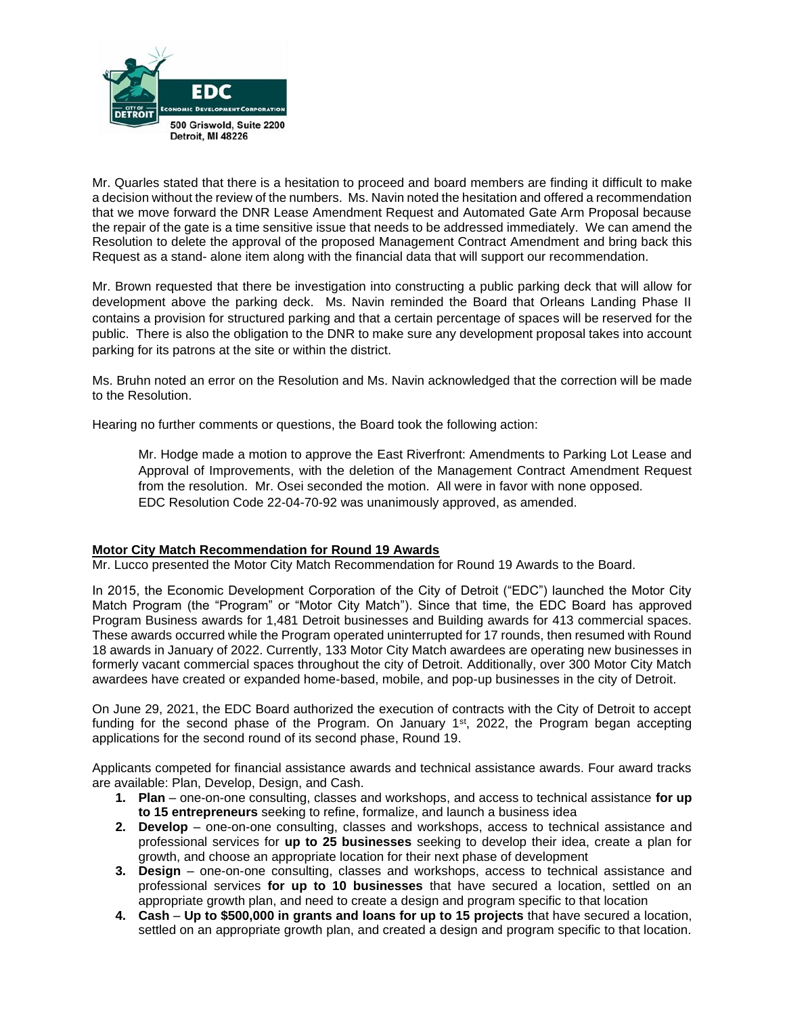

Mr. Quarles stated that there is a hesitation to proceed and board members are finding it difficult to make a decision without the review of the numbers. Ms. Navin noted the hesitation and offered a recommendation that we move forward the DNR Lease Amendment Request and Automated Gate Arm Proposal because the repair of the gate is a time sensitive issue that needs to be addressed immediately. We can amend the Resolution to delete the approval of the proposed Management Contract Amendment and bring back this Request as a stand- alone item along with the financial data that will support our recommendation.

Mr. Brown requested that there be investigation into constructing a public parking deck that will allow for development above the parking deck. Ms. Navin reminded the Board that Orleans Landing Phase II contains a provision for structured parking and that a certain percentage of spaces will be reserved for the public. There is also the obligation to the DNR to make sure any development proposal takes into account parking for its patrons at the site or within the district.

Ms. Bruhn noted an error on the Resolution and Ms. Navin acknowledged that the correction will be made to the Resolution.

Hearing no further comments or questions, the Board took the following action:

Mr. Hodge made a motion to approve the East Riverfront: Amendments to Parking Lot Lease and Approval of Improvements, with the deletion of the Management Contract Amendment Request from the resolution. Mr. Osei seconded the motion. All were in favor with none opposed. EDC Resolution Code 22-04-70-92 was unanimously approved, as amended.

## **Motor City Match Recommendation for Round 19 Awards**

Mr. Lucco presented the Motor City Match Recommendation for Round 19 Awards to the Board.

In 2015, the Economic Development Corporation of the City of Detroit ("EDC") launched the Motor City Match Program (the "Program" or "Motor City Match"). Since that time, the EDC Board has approved Program Business awards for 1,481 Detroit businesses and Building awards for 413 commercial spaces. These awards occurred while the Program operated uninterrupted for 17 rounds, then resumed with Round 18 awards in January of 2022. Currently, 133 Motor City Match awardees are operating new businesses in formerly vacant commercial spaces throughout the city of Detroit. Additionally, over 300 Motor City Match awardees have created or expanded home-based, mobile, and pop-up businesses in the city of Detroit.

On June 29, 2021, the EDC Board authorized the execution of contracts with the City of Detroit to accept funding for the second phase of the Program. On January 1<sup>st</sup>, 2022, the Program began accepting applications for the second round of its second phase, Round 19.

Applicants competed for financial assistance awards and technical assistance awards. Four award tracks are available: Plan, Develop, Design, and Cash.

- **1. Plan** one-on-one consulting, classes and workshops, and access to technical assistance **for up to 15 entrepreneurs** seeking to refine, formalize, and launch a business idea
- **2. Develop**  one-on-one consulting, classes and workshops, access to technical assistance and professional services for **up to 25 businesses** seeking to develop their idea, create a plan for growth, and choose an appropriate location for their next phase of development
- **3. Design** one-on-one consulting, classes and workshops, access to technical assistance and professional services **for up to 10 businesses** that have secured a location, settled on an appropriate growth plan, and need to create a design and program specific to that location
- **4. Cash Up to \$500,000 in grants and loans for up to 15 projects** that have secured a location, settled on an appropriate growth plan, and created a design and program specific to that location.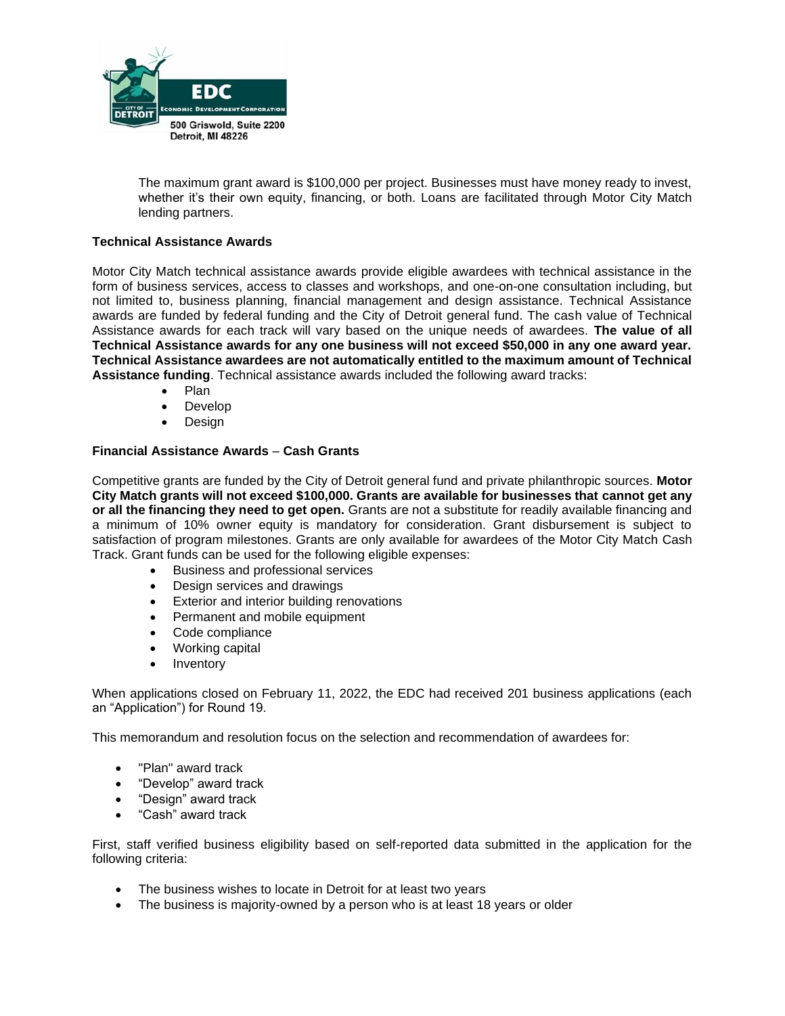

The maximum grant award is \$100,000 per project. Businesses must have money ready to invest, whether it's their own equity, financing, or both. Loans are facilitated through Motor City Match lending partners.

### **Technical Assistance Awards**

Motor City Match technical assistance awards provide eligible awardees with technical assistance in the form of business services, access to classes and workshops, and one-on-one consultation including, but not limited to, business planning, financial management and design assistance. Technical Assistance awards are funded by federal funding and the City of Detroit general fund. The cash value of Technical Assistance awards for each track will vary based on the unique needs of awardees. **The value of all Technical Assistance awards for any one business will not exceed \$50,000 in any one award year. Technical Assistance awardees are not automatically entitled to the maximum amount of Technical Assistance funding**. Technical assistance awards included the following award tracks:

- Plan
- Develop
- **Design**

### **Financial Assistance Awards** – **Cash Grants**

Competitive grants are funded by the City of Detroit general fund and private philanthropic sources. **Motor City Match grants will not exceed \$100,000. Grants are available for businesses that cannot get any or all the financing they need to get open.** Grants are not a substitute for readily available financing and a minimum of 10% owner equity is mandatory for consideration. Grant disbursement is subject to satisfaction of program milestones. Grants are only available for awardees of the Motor City Match Cash Track. Grant funds can be used for the following eligible expenses:

- Business and professional services
- Design services and drawings
- Exterior and interior building renovations
- Permanent and mobile equipment
- Code compliance
- Working capital
- **Inventory**

When applications closed on February 11, 2022, the EDC had received 201 business applications (each an "Application") for Round 19.

This memorandum and resolution focus on the selection and recommendation of awardees for:

- "Plan" award track
- "Develop" award track
- "Design" award track
- "Cash" award track

First, staff verified business eligibility based on self-reported data submitted in the application for the following criteria:

- The business wishes to locate in Detroit for at least two years
- The business is majority-owned by a person who is at least 18 years or older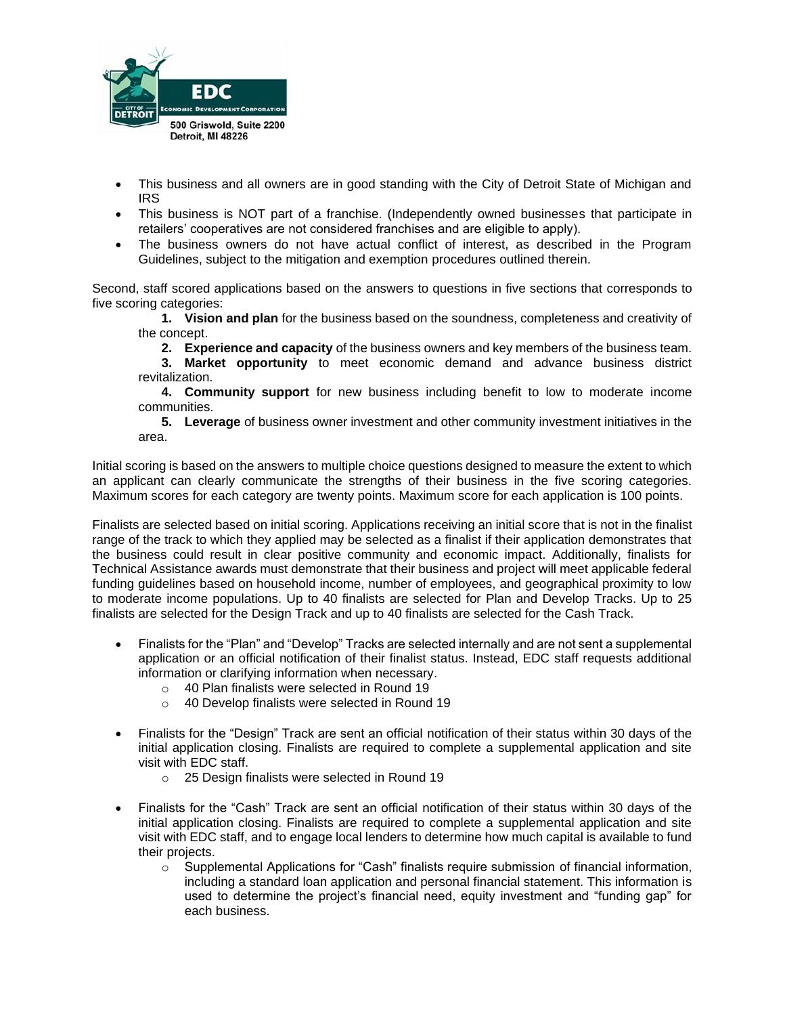

- This business and all owners are in good standing with the City of Detroit State of Michigan and IRS
- This business is NOT part of a franchise. (Independently owned businesses that participate in retailers' cooperatives are not considered franchises and are eligible to apply).
- The business owners do not have actual conflict of interest, as described in the Program Guidelines, subject to the mitigation and exemption procedures outlined therein.

Second, staff scored applications based on the answers to questions in five sections that corresponds to five scoring categories:

**1. Vision and plan** for the business based on the soundness, completeness and creativity of the concept.

**2. Experience and capacity** of the business owners and key members of the business team.

**3. Market opportunity** to meet economic demand and advance business district revitalization.

**4. Community support** for new business including benefit to low to moderate income communities.

**5. Leverage** of business owner investment and other community investment initiatives in the area.

Initial scoring is based on the answers to multiple choice questions designed to measure the extent to which an applicant can clearly communicate the strengths of their business in the five scoring categories. Maximum scores for each category are twenty points. Maximum score for each application is 100 points.

Finalists are selected based on initial scoring. Applications receiving an initial score that is not in the finalist range of the track to which they applied may be selected as a finalist if their application demonstrates that the business could result in clear positive community and economic impact. Additionally, finalists for Technical Assistance awards must demonstrate that their business and project will meet applicable federal funding guidelines based on household income, number of employees, and geographical proximity to low to moderate income populations. Up to 40 finalists are selected for Plan and Develop Tracks. Up to 25 finalists are selected for the Design Track and up to 40 finalists are selected for the Cash Track.

- Finalists for the "Plan" and "Develop" Tracks are selected internally and are not sent a supplemental application or an official notification of their finalist status. Instead, EDC staff requests additional information or clarifying information when necessary.
	- o 40 Plan finalists were selected in Round 19
	- o 40 Develop finalists were selected in Round 19
- Finalists for the "Design" Track are sent an official notification of their status within 30 days of the initial application closing. Finalists are required to complete a supplemental application and site visit with EDC staff.
	- o 25 Design finalists were selected in Round 19
- Finalists for the "Cash" Track are sent an official notification of their status within 30 days of the initial application closing. Finalists are required to complete a supplemental application and site visit with EDC staff, and to engage local lenders to determine how much capital is available to fund their projects.
	- $\circ$  Supplemental Applications for "Cash" finalists require submission of financial information, including a standard loan application and personal financial statement. This information is used to determine the project's financial need, equity investment and "funding gap" for each business.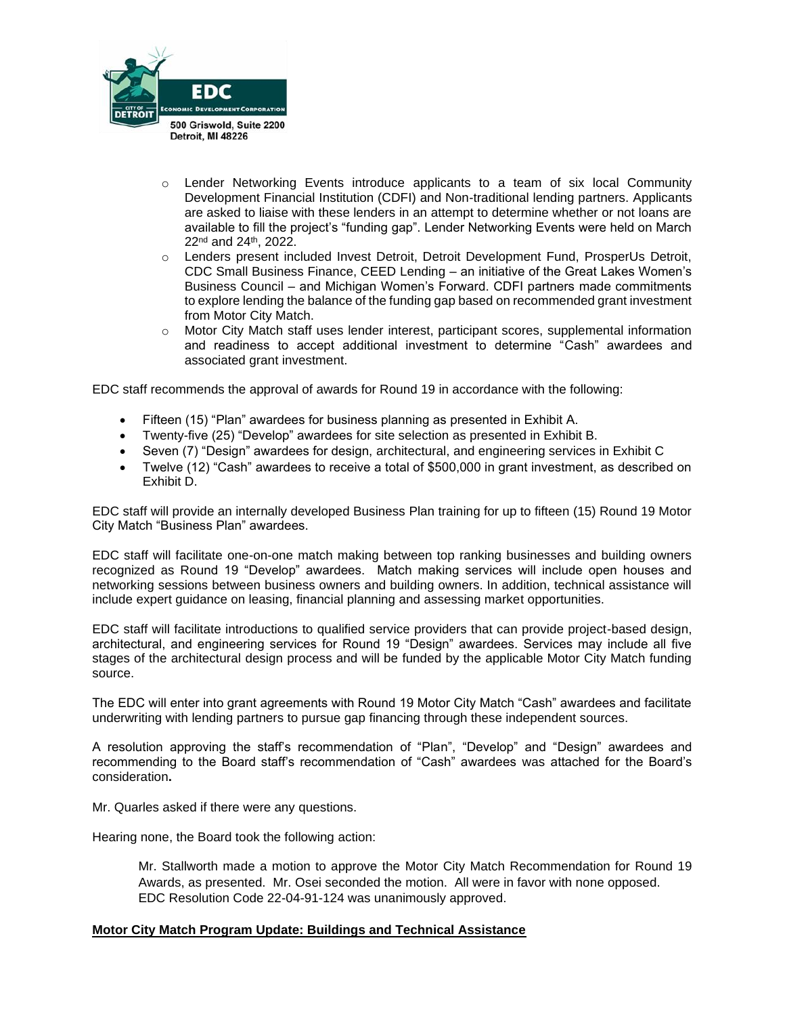

- $\circ$  Lender Networking Events introduce applicants to a team of six local Community Development Financial Institution (CDFI) and Non-traditional lending partners. Applicants are asked to liaise with these lenders in an attempt to determine whether or not loans are available to fill the project's "funding gap". Lender Networking Events were held on March 22nd and 24th, 2022.
- o Lenders present included Invest Detroit, Detroit Development Fund, ProsperUs Detroit, CDC Small Business Finance, CEED Lending – an initiative of the Great Lakes Women's Business Council – and Michigan Women's Forward. CDFI partners made commitments to explore lending the balance of the funding gap based on recommended grant investment from Motor City Match.
- o Motor City Match staff uses lender interest, participant scores, supplemental information and readiness to accept additional investment to determine "Cash" awardees and associated grant investment.

EDC staff recommends the approval of awards for Round 19 in accordance with the following:

- Fifteen (15) "Plan" awardees for business planning as presented in Exhibit A.
- Twenty-five (25) "Develop" awardees for site selection as presented in Exhibit B.
- Seven (7) "Design" awardees for design, architectural, and engineering services in Exhibit C
- Twelve (12) "Cash" awardees to receive a total of \$500,000 in grant investment, as described on Exhibit D.

EDC staff will provide an internally developed Business Plan training for up to fifteen (15) Round 19 Motor City Match "Business Plan" awardees.

EDC staff will facilitate one-on-one match making between top ranking businesses and building owners recognized as Round 19 "Develop" awardees. Match making services will include open houses and networking sessions between business owners and building owners. In addition, technical assistance will include expert guidance on leasing, financial planning and assessing market opportunities.

EDC staff will facilitate introductions to qualified service providers that can provide project-based design, architectural, and engineering services for Round 19 "Design" awardees. Services may include all five stages of the architectural design process and will be funded by the applicable Motor City Match funding source.

The EDC will enter into grant agreements with Round 19 Motor City Match "Cash" awardees and facilitate underwriting with lending partners to pursue gap financing through these independent sources.

A resolution approving the staff's recommendation of "Plan", "Develop" and "Design" awardees and recommending to the Board staff's recommendation of "Cash" awardees was attached for the Board's consideration**.**

Mr. Quarles asked if there were any questions.

Hearing none, the Board took the following action:

Mr. Stallworth made a motion to approve the Motor City Match Recommendation for Round 19 Awards, as presented. Mr. Osei seconded the motion. All were in favor with none opposed. EDC Resolution Code 22-04-91-124 was unanimously approved.

#### **Motor City Match Program Update: Buildings and Technical Assistance**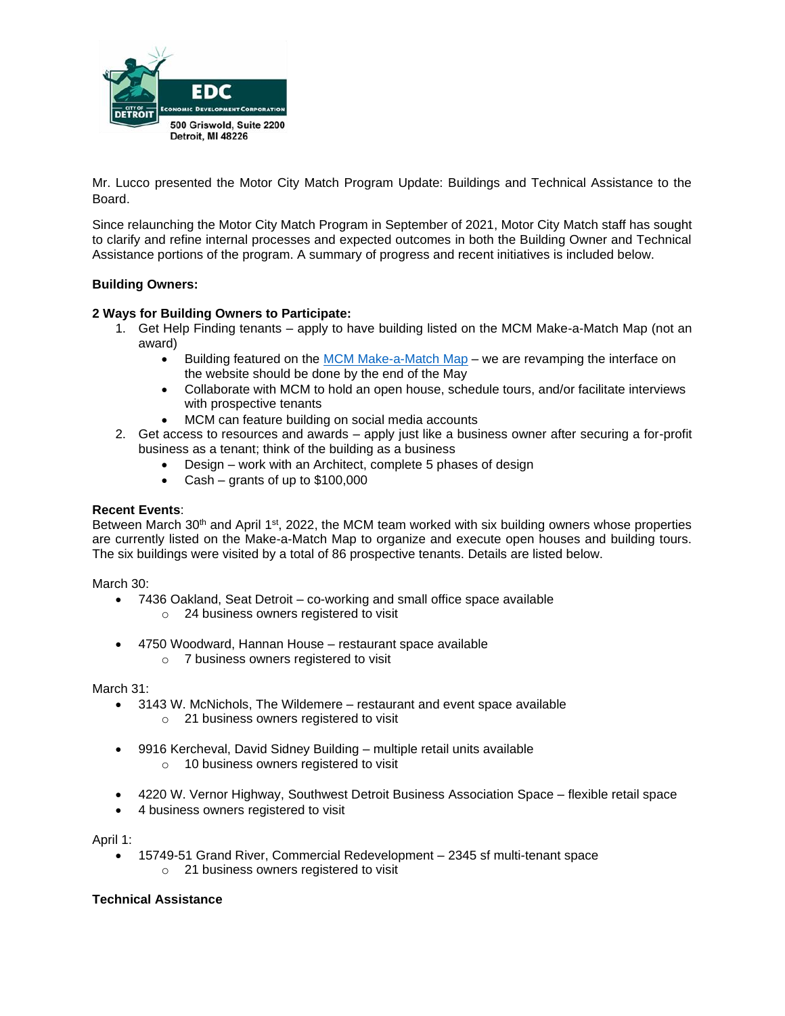

Mr. Lucco presented the Motor City Match Program Update: Buildings and Technical Assistance to the Board.

Since relaunching the Motor City Match Program in September of 2021, Motor City Match staff has sought to clarify and refine internal processes and expected outcomes in both the Building Owner and Technical Assistance portions of the program. A summary of progress and recent initiatives is included below.

### **Building Owners:**

### **2 Ways for Building Owners to Participate:**

- 1. Get Help Finding tenants apply to have building listed on the MCM Make-a-Match Map (not an award)
	- Building featured on the [MCM Make-a-Match Map](https://www.motorcitymatch.com/properties/) we are revamping the interface on the website should be done by the end of the May
	- Collaborate with MCM to hold an open house, schedule tours, and/or facilitate interviews with prospective tenants
	- MCM can feature building on social media accounts
- 2. Get access to resources and awards apply just like a business owner after securing a for-profit business as a tenant; think of the building as a business
	- Design work with an Architect, complete 5 phases of design
	- Cash grants of up to \$100,000

#### **Recent Events**:

Between March 30<sup>th</sup> and April 1<sup>st</sup>, 2022, the MCM team worked with six building owners whose properties are currently listed on the Make-a-Match Map to organize and execute open houses and building tours. The six buildings were visited by a total of 86 prospective tenants. Details are listed below.

March 30:

- 7436 Oakland, Seat Detroit co-working and small office space available
	- o 24 business owners registered to visit
- 4750 Woodward, Hannan House restaurant space available
	- o 7 business owners registered to visit

March 31:

- 3143 W. McNichols, The Wildemere restaurant and event space available
	- o 21 business owners registered to visit
- 9916 Kercheval, David Sidney Building multiple retail units available
	- o 10 business owners registered to visit
- 4220 W. Vernor Highway, Southwest Detroit Business Association Space flexible retail space
- 4 business owners registered to visit

April 1:

- 15749-51 Grand River, Commercial Redevelopment 2345 sf multi-tenant space
	- o 21 business owners registered to visit

#### **Technical Assistance**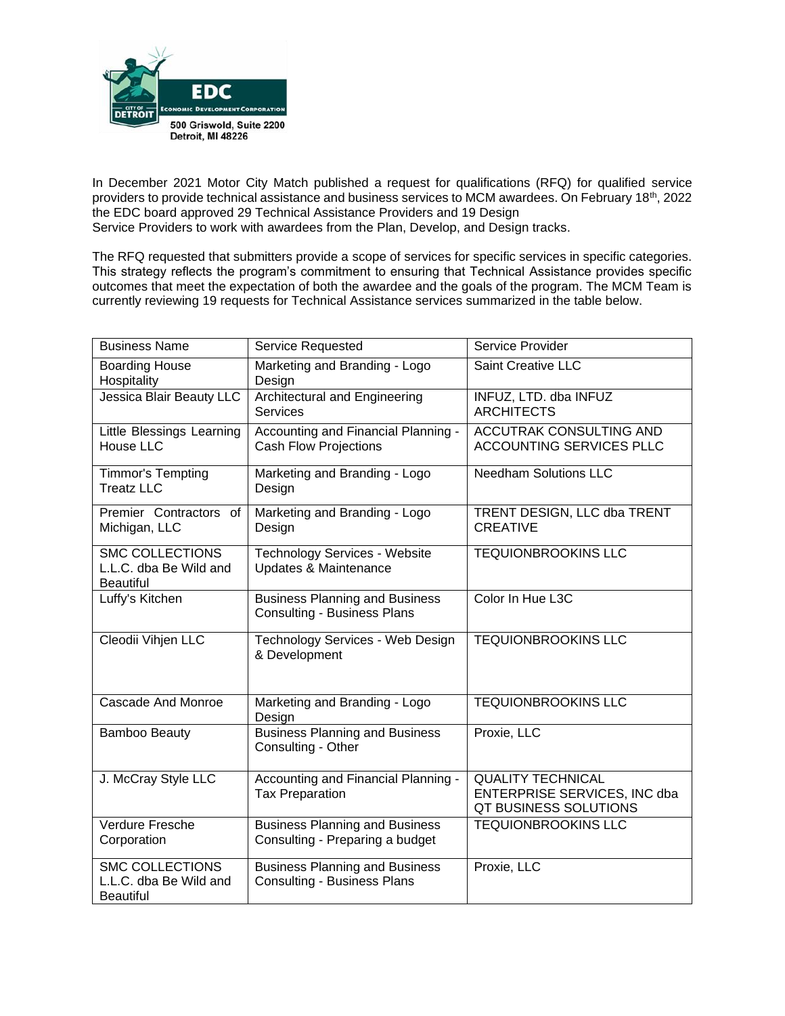

In December 2021 Motor City Match published a request for qualifications (RFQ) for qualified service providers to provide technical assistance and business services to MCM awardees. On February 18th, 2022 the EDC board approved 29 Technical Assistance Providers and 19 Design Service Providers to work with awardees from the Plan, Develop, and Design tracks.

The RFQ requested that submitters provide a scope of services for specific services in specific categories. This strategy reflects the program's commitment to ensuring that Technical Assistance provides specific outcomes that meet the expectation of both the awardee and the goals of the program. The MCM Team is currently reviewing 19 requests for Technical Assistance services summarized in the table below.

| <b>Business Name</b>                                                 | <b>Service Requested</b>                                                                                                          | Service Provider                                                                  |  |
|----------------------------------------------------------------------|-----------------------------------------------------------------------------------------------------------------------------------|-----------------------------------------------------------------------------------|--|
| <b>Boarding House</b><br>Hospitality                                 | Marketing and Branding - Logo<br>Design                                                                                           | <b>Saint Creative LLC</b>                                                         |  |
| Jessica Blair Beauty LLC                                             | Architectural and Engineering<br><b>Services</b>                                                                                  | INFUZ, LTD. dba INFUZ<br><b>ARCHITECTS</b>                                        |  |
| Little Blessings Learning<br>House LLC                               | Accounting and Financial Planning -<br>ACCUTRAK CONSULTING AND<br><b>ACCOUNTING SERVICES PLLC</b><br><b>Cash Flow Projections</b> |                                                                                   |  |
| Timmor's Tempting<br><b>Treatz LLC</b>                               | Marketing and Branding - Logo<br>Design                                                                                           | <b>Needham Solutions LLC</b>                                                      |  |
| Premier Contractors of<br>Michigan, LLC                              | Marketing and Branding - Logo<br>Design                                                                                           | TRENT DESIGN, LLC dba TRENT<br><b>CREATIVE</b>                                    |  |
| <b>SMC COLLECTIONS</b><br>L.L.C. dba Be Wild and<br><b>Beautiful</b> | <b>Technology Services - Website</b><br>Updates & Maintenance                                                                     | <b>TEQUIONBROOKINS LLC</b>                                                        |  |
| Luffy's Kitchen                                                      | <b>Business Planning and Business</b><br><b>Consulting - Business Plans</b>                                                       | Color In Hue L3C                                                                  |  |
| Cleodii Vihjen LLC                                                   | Technology Services - Web Design<br>& Development                                                                                 | <b>TEQUIONBROOKINS LLC</b>                                                        |  |
| <b>Cascade And Monroe</b>                                            | Marketing and Branding - Logo<br>Design                                                                                           | <b>TEQUIONBROOKINS LLC</b>                                                        |  |
| <b>Bamboo Beauty</b>                                                 | <b>Business Planning and Business</b><br>Consulting - Other                                                                       | Proxie, LLC                                                                       |  |
| J. McCray Style LLC                                                  | Accounting and Financial Planning -<br><b>Tax Preparation</b>                                                                     | <b>QUALITY TECHNICAL</b><br>ENTERPRISE SERVICES, INC dba<br>QT BUSINESS SOLUTIONS |  |
| Verdure Fresche<br>Corporation                                       | <b>Business Planning and Business</b><br>Consulting - Preparing a budget                                                          | <b>TEQUIONBROOKINS LLC</b>                                                        |  |
| <b>SMC COLLECTIONS</b><br>L.L.C. dba Be Wild and<br><b>Beautiful</b> | <b>Business Planning and Business</b><br><b>Consulting - Business Plans</b>                                                       | Proxie, LLC                                                                       |  |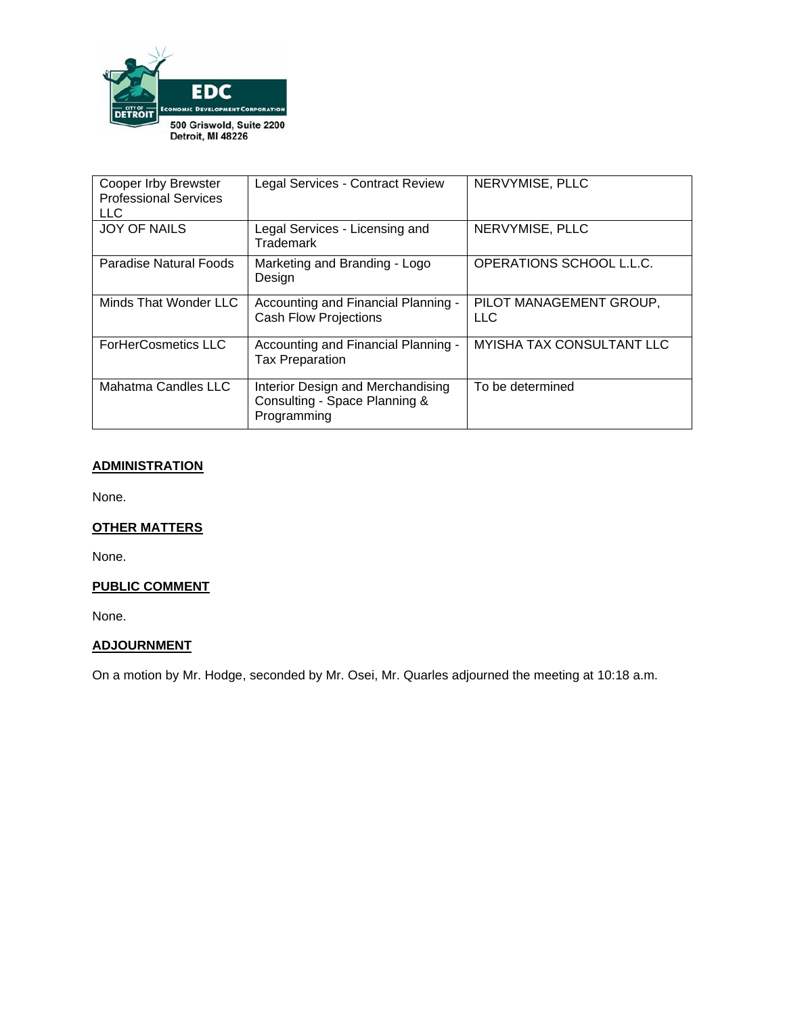

| <b>Cooper Irby Brewster</b><br><b>Professional Services</b><br><b>LLC</b> | Legal Services - Contract Review                                                  | NERVYMISE, PLLC                  |  |
|---------------------------------------------------------------------------|-----------------------------------------------------------------------------------|----------------------------------|--|
| <b>JOY OF NAILS</b>                                                       | Legal Services - Licensing and<br>Trademark                                       | NERVYMISE, PLLC                  |  |
| Paradise Natural Foods                                                    | Marketing and Branding - Logo<br>Design                                           | OPERATIONS SCHOOL L.L.C.         |  |
| Minds That Wonder LLC                                                     | Accounting and Financial Planning -<br><b>Cash Flow Projections</b>               | PILOT MANAGEMENT GROUP,<br>LLC.  |  |
| <b>ForHerCosmetics LLC</b>                                                | Accounting and Financial Planning -<br><b>Tax Preparation</b>                     | <b>MYISHA TAX CONSULTANT LLC</b> |  |
| Mahatma Candles LLC                                                       | Interior Design and Merchandising<br>Consulting - Space Planning &<br>Programming | To be determined                 |  |

# **ADMINISTRATION**

None.

# **OTHER MATTERS**

None.

## **PUBLIC COMMENT**

None.

# **ADJOURNMENT**

On a motion by Mr. Hodge, seconded by Mr. Osei, Mr. Quarles adjourned the meeting at 10:18 a.m.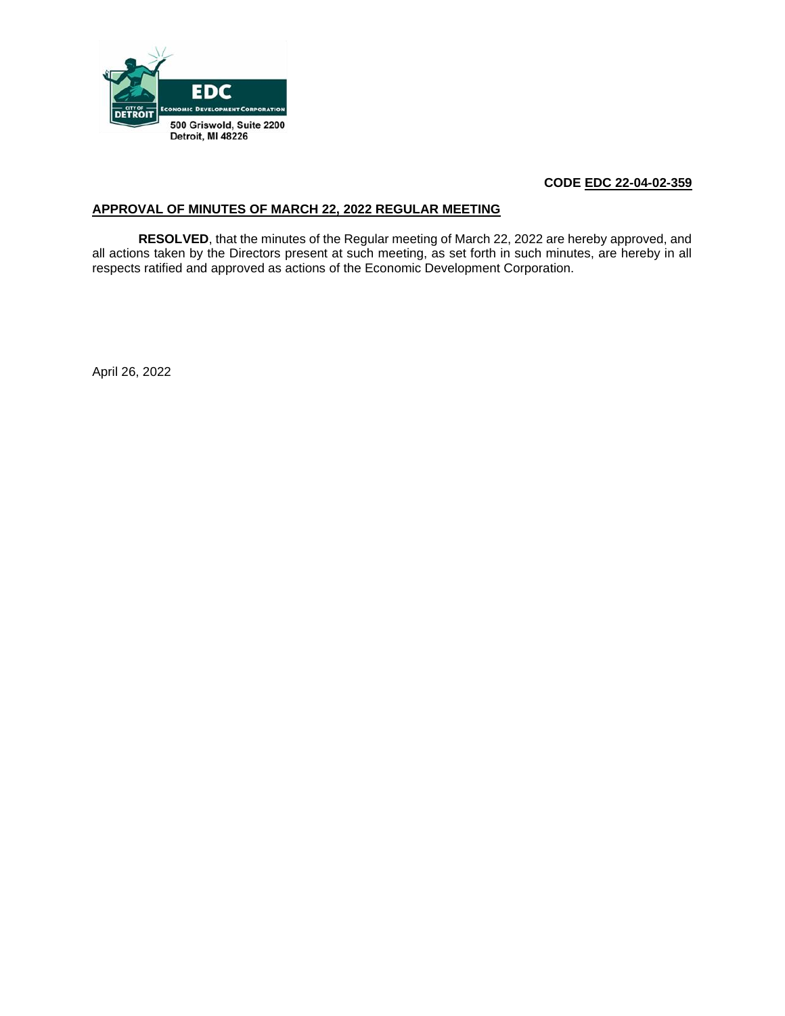

# **CODE EDC 22-04-02-359**

### **APPROVAL OF MINUTES OF MARCH 22, 2022 REGULAR MEETING**

**RESOLVED**, that the minutes of the Regular meeting of March 22, 2022 are hereby approved, and all actions taken by the Directors present at such meeting, as set forth in such minutes, are hereby in all respects ratified and approved as actions of the Economic Development Corporation.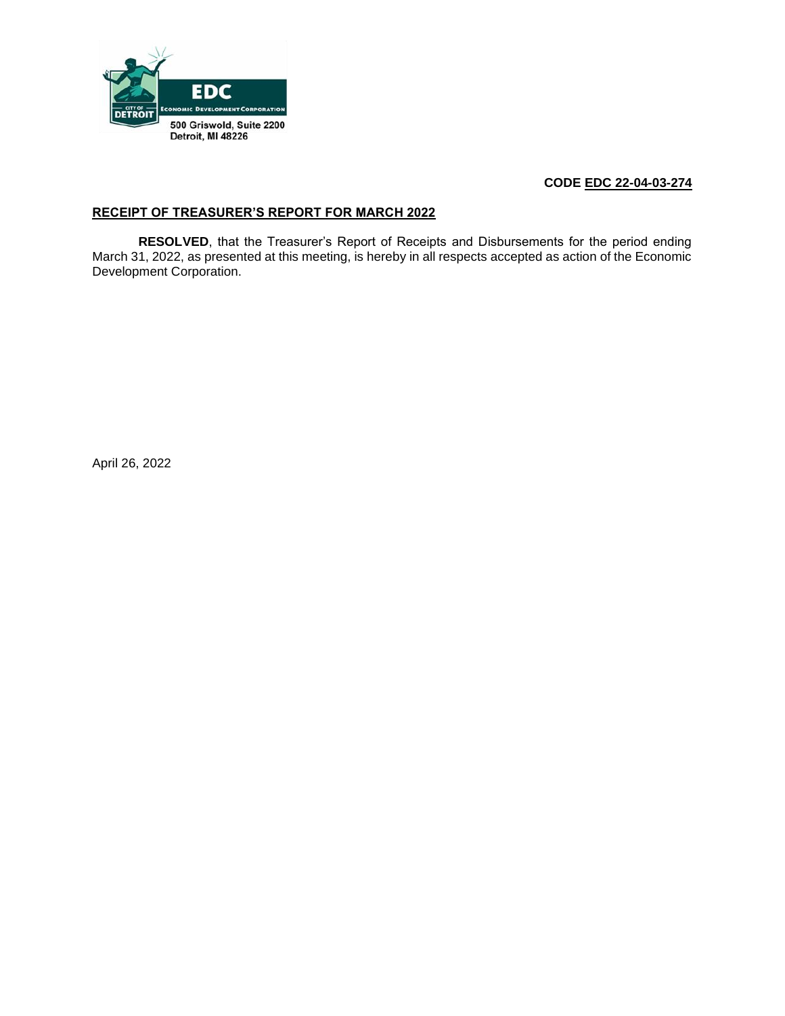

# **CODE EDC 22-04-03-274**

## **RECEIPT OF TREASURER'S REPORT FOR MARCH 2022**

**RESOLVED**, that the Treasurer's Report of Receipts and Disbursements for the period ending March 31, 2022, as presented at this meeting, is hereby in all respects accepted as action of the Economic Development Corporation.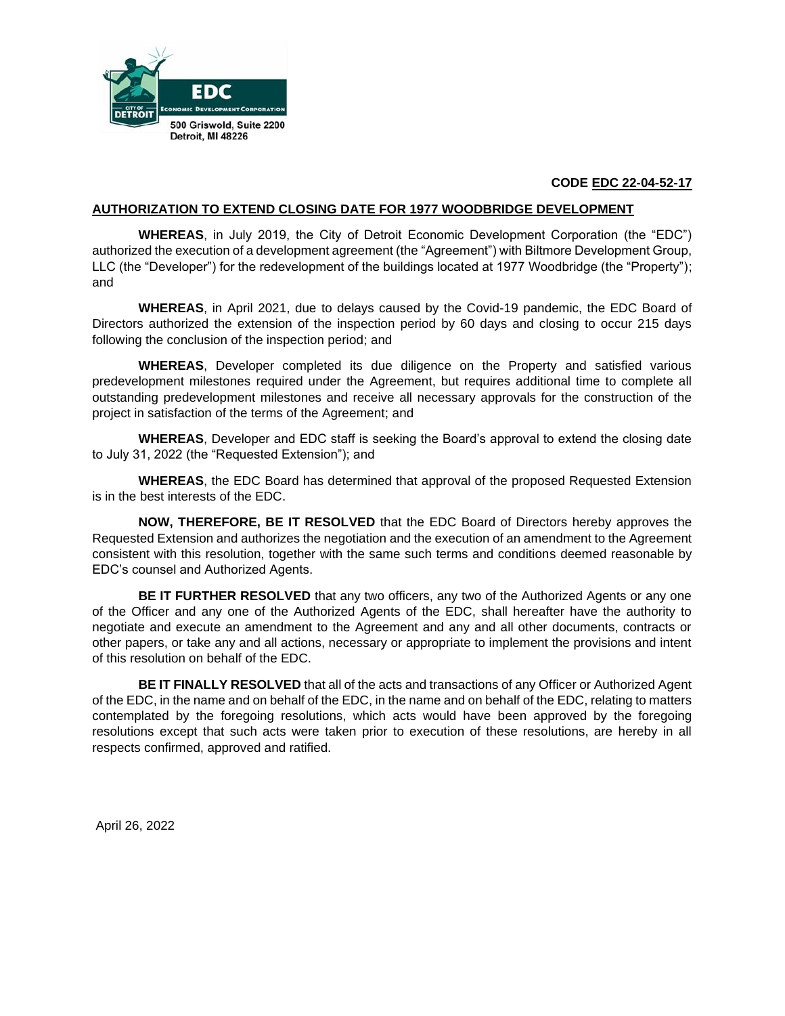

## **CODE EDC 22-04-52-17**

#### **AUTHORIZATION TO EXTEND CLOSING DATE FOR 1977 WOODBRIDGE DEVELOPMENT**

**WHEREAS**, in July 2019, the City of Detroit Economic Development Corporation (the "EDC") authorized the execution of a development agreement (the "Agreement") with Biltmore Development Group, LLC (the "Developer") for the redevelopment of the buildings located at 1977 Woodbridge (the "Property"); and

**WHEREAS**, in April 2021, due to delays caused by the Covid-19 pandemic, the EDC Board of Directors authorized the extension of the inspection period by 60 days and closing to occur 215 days following the conclusion of the inspection period; and

**WHEREAS**, Developer completed its due diligence on the Property and satisfied various predevelopment milestones required under the Agreement, but requires additional time to complete all outstanding predevelopment milestones and receive all necessary approvals for the construction of the project in satisfaction of the terms of the Agreement; and

**WHEREAS**, Developer and EDC staff is seeking the Board's approval to extend the closing date to July 31, 2022 (the "Requested Extension"); and

**WHEREAS**, the EDC Board has determined that approval of the proposed Requested Extension is in the best interests of the EDC.

**NOW, THEREFORE, BE IT RESOLVED** that the EDC Board of Directors hereby approves the Requested Extension and authorizes the negotiation and the execution of an amendment to the Agreement consistent with this resolution, together with the same such terms and conditions deemed reasonable by EDC's counsel and Authorized Agents.

**BE IT FURTHER RESOLVED** that any two officers, any two of the Authorized Agents or any one of the Officer and any one of the Authorized Agents of the EDC, shall hereafter have the authority to negotiate and execute an amendment to the Agreement and any and all other documents, contracts or other papers, or take any and all actions, necessary or appropriate to implement the provisions and intent of this resolution on behalf of the EDC.

**BE IT FINALLY RESOLVED** that all of the acts and transactions of any Officer or Authorized Agent of the EDC, in the name and on behalf of the EDC, in the name and on behalf of the EDC, relating to matters contemplated by the foregoing resolutions, which acts would have been approved by the foregoing resolutions except that such acts were taken prior to execution of these resolutions, are hereby in all respects confirmed, approved and ratified.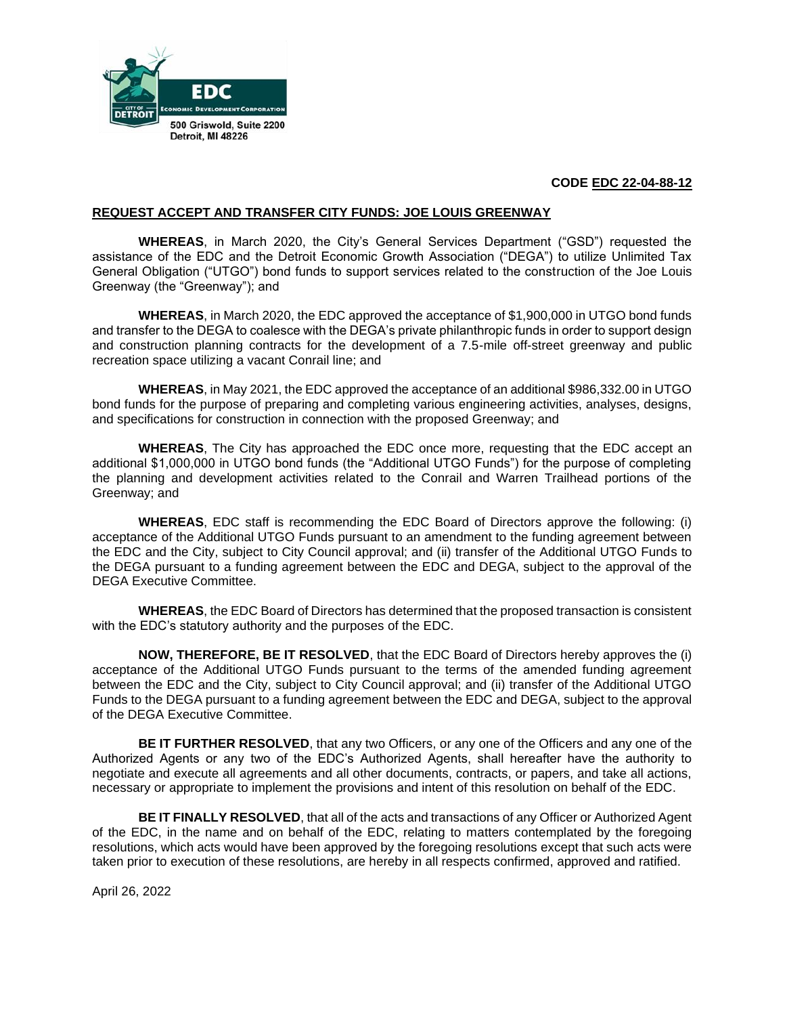

## **CODE EDC 22-04-88-12**

#### **REQUEST ACCEPT AND TRANSFER CITY FUNDS: JOE LOUIS GREENWAY**

**WHEREAS**, in March 2020, the City's General Services Department ("GSD") requested the assistance of the EDC and the Detroit Economic Growth Association ("DEGA") to utilize Unlimited Tax General Obligation ("UTGO") bond funds to support services related to the construction of the Joe Louis Greenway (the "Greenway"); and

**WHEREAS**, in March 2020, the EDC approved the acceptance of \$1,900,000 in UTGO bond funds and transfer to the DEGA to coalesce with the DEGA's private philanthropic funds in order to support design and construction planning contracts for the development of a 7.5-mile off-street greenway and public recreation space utilizing a vacant Conrail line; and

**WHEREAS**, in May 2021, the EDC approved the acceptance of an additional \$986,332.00 in UTGO bond funds for the purpose of preparing and completing various engineering activities, analyses, designs, and specifications for construction in connection with the proposed Greenway; and

**WHEREAS**, The City has approached the EDC once more, requesting that the EDC accept an additional \$1,000,000 in UTGO bond funds (the "Additional UTGO Funds") for the purpose of completing the planning and development activities related to the Conrail and Warren Trailhead portions of the Greenway; and

**WHEREAS**, EDC staff is recommending the EDC Board of Directors approve the following: (i) acceptance of the Additional UTGO Funds pursuant to an amendment to the funding agreement between the EDC and the City, subject to City Council approval; and (ii) transfer of the Additional UTGO Funds to the DEGA pursuant to a funding agreement between the EDC and DEGA, subject to the approval of the DEGA Executive Committee.

**WHEREAS**, the EDC Board of Directors has determined that the proposed transaction is consistent with the EDC's statutory authority and the purposes of the EDC.

**NOW, THEREFORE, BE IT RESOLVED**, that the EDC Board of Directors hereby approves the (i) acceptance of the Additional UTGO Funds pursuant to the terms of the amended funding agreement between the EDC and the City, subject to City Council approval; and (ii) transfer of the Additional UTGO Funds to the DEGA pursuant to a funding agreement between the EDC and DEGA, subject to the approval of the DEGA Executive Committee.

**BE IT FURTHER RESOLVED**, that any two Officers, or any one of the Officers and any one of the Authorized Agents or any two of the EDC's Authorized Agents, shall hereafter have the authority to negotiate and execute all agreements and all other documents, contracts, or papers, and take all actions, necessary or appropriate to implement the provisions and intent of this resolution on behalf of the EDC.

**BE IT FINALLY RESOLVED**, that all of the acts and transactions of any Officer or Authorized Agent of the EDC, in the name and on behalf of the EDC, relating to matters contemplated by the foregoing resolutions, which acts would have been approved by the foregoing resolutions except that such acts were taken prior to execution of these resolutions, are hereby in all respects confirmed, approved and ratified.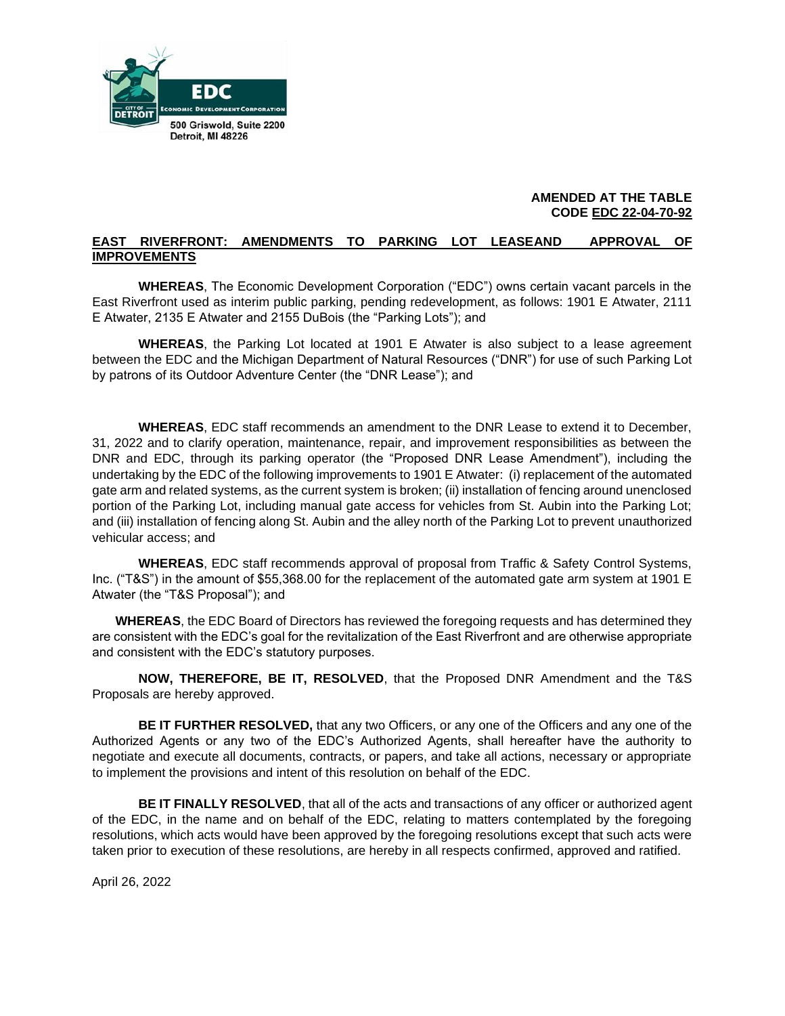

### **AMENDED AT THE TABLE CODE EDC 22-04-70-92**

## **EAST RIVERFRONT: AMENDMENTS TO PARKING LOT LEASEAND APPROVAL OF IMPROVEMENTS**

**WHEREAS**, The Economic Development Corporation ("EDC") owns certain vacant parcels in the East Riverfront used as interim public parking, pending redevelopment, as follows: 1901 E Atwater, 2111 E Atwater, 2135 E Atwater and 2155 DuBois (the "Parking Lots"); and

**WHEREAS**, the Parking Lot located at 1901 E Atwater is also subject to a lease agreement between the EDC and the Michigan Department of Natural Resources ("DNR") for use of such Parking Lot by patrons of its Outdoor Adventure Center (the "DNR Lease"); and

**WHEREAS**, EDC staff recommends an amendment to the DNR Lease to extend it to December, 31, 2022 and to clarify operation, maintenance, repair, and improvement responsibilities as between the DNR and EDC, through its parking operator (the "Proposed DNR Lease Amendment"), including the undertaking by the EDC of the following improvements to 1901 E Atwater: (i) replacement of the automated gate arm and related systems, as the current system is broken; (ii) installation of fencing around unenclosed portion of the Parking Lot, including manual gate access for vehicles from St. Aubin into the Parking Lot; and (iii) installation of fencing along St. Aubin and the alley north of the Parking Lot to prevent unauthorized vehicular access; and

**WHEREAS**, EDC staff recommends approval of proposal from Traffic & Safety Control Systems, Inc. ("T&S") in the amount of \$55,368.00 for the replacement of the automated gate arm system at 1901 E Atwater (the "T&S Proposal"); and

**WHEREAS**, the EDC Board of Directors has reviewed the foregoing requests and has determined they are consistent with the EDC's goal for the revitalization of the East Riverfront and are otherwise appropriate and consistent with the EDC's statutory purposes.

**NOW, THEREFORE, BE IT, RESOLVED**, that the Proposed DNR Amendment and the T&S Proposals are hereby approved.

**BE IT FURTHER RESOLVED,** that any two Officers, or any one of the Officers and any one of the Authorized Agents or any two of the EDC's Authorized Agents, shall hereafter have the authority to negotiate and execute all documents, contracts, or papers, and take all actions, necessary or appropriate to implement the provisions and intent of this resolution on behalf of the EDC.

**BE IT FINALLY RESOLVED**, that all of the acts and transactions of any officer or authorized agent of the EDC, in the name and on behalf of the EDC, relating to matters contemplated by the foregoing resolutions, which acts would have been approved by the foregoing resolutions except that such acts were taken prior to execution of these resolutions, are hereby in all respects confirmed, approved and ratified.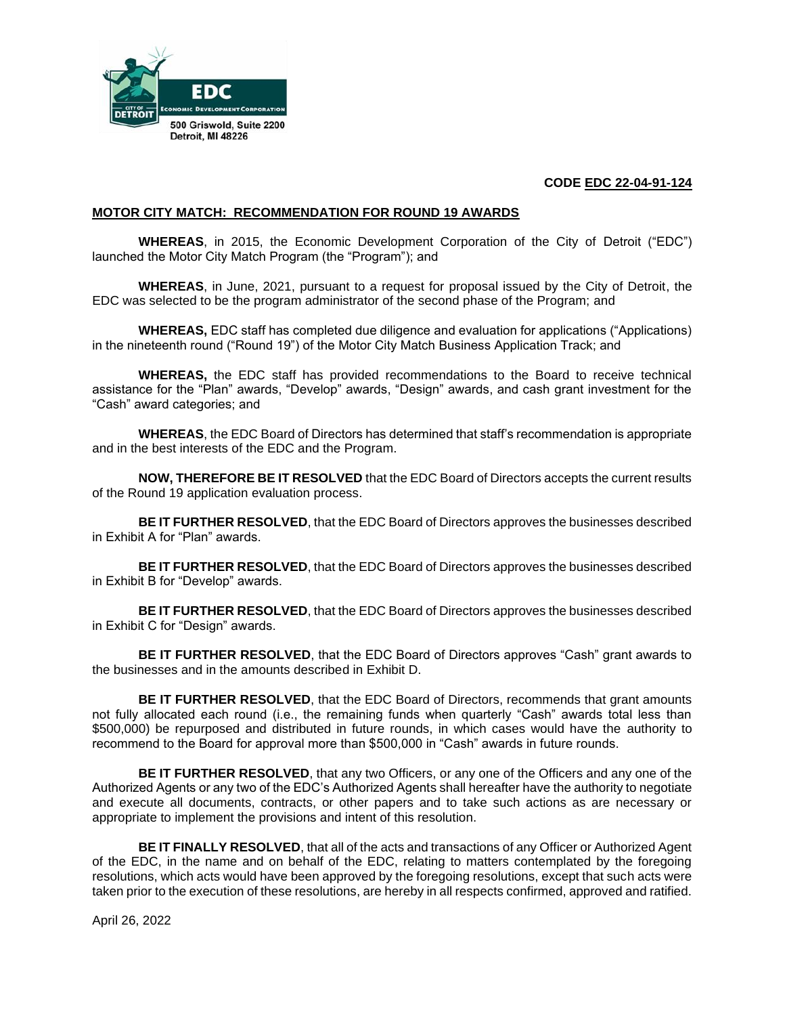

## **CODE EDC 22-04-91-124**

#### **MOTOR CITY MATCH: RECOMMENDATION FOR ROUND 19 AWARDS**

**WHEREAS**, in 2015, the Economic Development Corporation of the City of Detroit ("EDC") launched the Motor City Match Program (the "Program"); and

**WHEREAS**, in June, 2021, pursuant to a request for proposal issued by the City of Detroit, the EDC was selected to be the program administrator of the second phase of the Program; and

**WHEREAS,** EDC staff has completed due diligence and evaluation for applications ("Applications) in the nineteenth round ("Round 19") of the Motor City Match Business Application Track; and

**WHEREAS,** the EDC staff has provided recommendations to the Board to receive technical assistance for the "Plan" awards, "Develop" awards, "Design" awards, and cash grant investment for the "Cash" award categories; and

**WHEREAS**, the EDC Board of Directors has determined that staff's recommendation is appropriate and in the best interests of the EDC and the Program.

**NOW, THEREFORE BE IT RESOLVED** that the EDC Board of Directors accepts the current results of the Round 19 application evaluation process.

**BE IT FURTHER RESOLVED**, that the EDC Board of Directors approves the businesses described in Exhibit A for "Plan" awards.

**BE IT FURTHER RESOLVED**, that the EDC Board of Directors approves the businesses described in Exhibit B for "Develop" awards.

**BE IT FURTHER RESOLVED**, that the EDC Board of Directors approves the businesses described in Exhibit C for "Design" awards.

**BE IT FURTHER RESOLVED**, that the EDC Board of Directors approves "Cash" grant awards to the businesses and in the amounts described in Exhibit D.

**BE IT FURTHER RESOLVED**, that the EDC Board of Directors, recommends that grant amounts not fully allocated each round (i.e., the remaining funds when quarterly "Cash" awards total less than \$500,000) be repurposed and distributed in future rounds, in which cases would have the authority to recommend to the Board for approval more than \$500,000 in "Cash" awards in future rounds.

**BE IT FURTHER RESOLVED**, that any two Officers, or any one of the Officers and any one of the Authorized Agents or any two of the EDC's Authorized Agents shall hereafter have the authority to negotiate and execute all documents, contracts, or other papers and to take such actions as are necessary or appropriate to implement the provisions and intent of this resolution.

**BE IT FINALLY RESOLVED**, that all of the acts and transactions of any Officer or Authorized Agent of the EDC, in the name and on behalf of the EDC, relating to matters contemplated by the foregoing resolutions, which acts would have been approved by the foregoing resolutions, except that such acts were taken prior to the execution of these resolutions, are hereby in all respects confirmed, approved and ratified.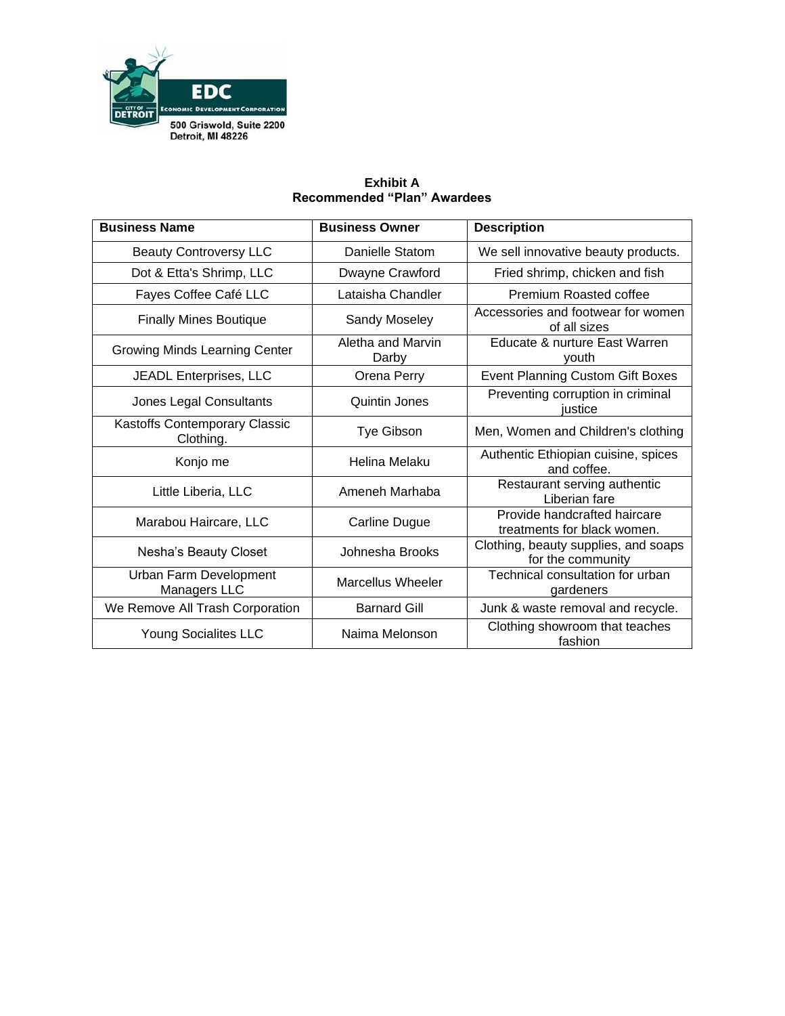

## **Business Name Business Owner Description** Beauty Controversy LLC **Danielle Statom** We sell innovative beauty products. Dot & Etta's Shrimp, LLC | Dwayne Crawford | Fried shrimp, chicken and fish Fayes Coffee Café LLC | Lataisha Chandler | Premium Roasted coffee Finally Mines Boutique Sandy Moseley Accessories and footwear for women of all sizes Growing Minds Learning Center **Aletha and Marvin** Darby Educate & nurture East Warren youth JEADL Enterprises, LLC Orena Perry Event Planning Custom Gift Boxes Jones Legal Consultants Quintin Jones Preventing corruption in criminal justice Kastoffs Contemporary Classic Tye Gibson | Men, Women and Children's clothing Konjo me Helina Melaku Authentic Ethiopian cuisine, spices and coffee. Little Liberia, LLC **Ameneh Marhaba** Restaurant serving authentic Liberian fare Marabou Haircare, LLC Carline Dugue Provide handcrafted haircare treatments for black women. Nesha's Beauty Closet Johnesha Brooks Clothing, beauty supplies, and soaps for the community Urban Farm Development n Farm Development Marcellus Wheeler Technical consultation for urban<br>Managers LLC Marcellus Wheeler gardeners gardeners We Remove All Trash Corporation | Barnard Gill | Junk & waste removal and recycle. Young Socialites LLC Naima Melonson Clothing showroom that teaches fashion

## **Exhibit A Recommended "Plan" Awardees**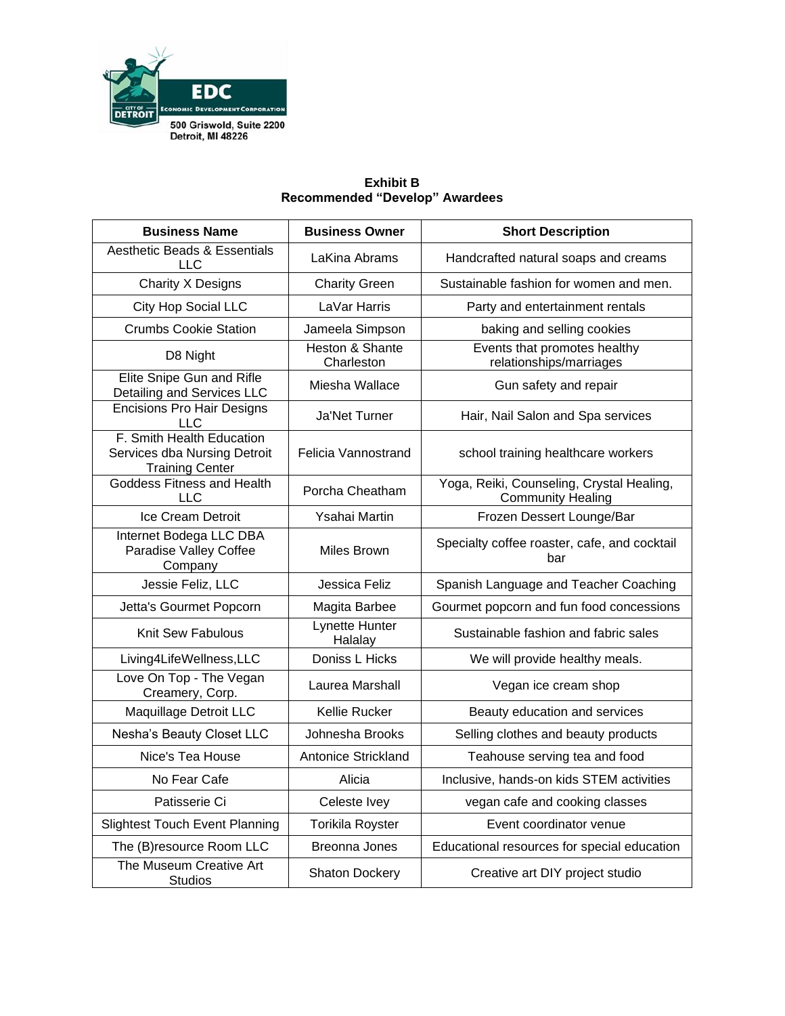

## **Business Name Business Owner Short Description** Aesthetic Beads & Essentials Eads & Essertuals | LaKina Abrams | Handcrafted natural soaps and creams Charity X Designs  $\vert$  Charity Green  $\vert$  Sustainable fashion for women and men. City Hop Social LLC LaVar Harris Latter Party and entertainment rentals Crumbs Cookie Station | Jameela Simpson | baking and selling cookies D8 Night Heston & Shante **Charleston** Events that promotes healthy relationships/marriages Elite Snipe Gun and Rifle Detailing and Services LLC Miesha Wallace Manuscull Gun safety and repair Encisions Pro Hair Designs LLC **Ja'Net Turner** Hair, Nail Salon and Spa services F. Smith Health Education Services dba Nursing Detroit Training Center Felicia Vannostrand | school training healthcare workers Goddess Fitness and Health tness and Health Porcha Cheatham | Yoga, Reiki, Counseling, Crystal Healing,<br>LLC Community Healing Community Healing Ice Cream Detroit | Ysahai Martin | Frozen Dessert Lounge/Bar Internet Bodega LLC DBA Paradise Valley Coffee Company Miles Brown Specialty coffee roaster, cafe, and cocktail bar Jessie Feliz, LLC Jessica Feliz | Spanish Language and Teacher Coaching Jetta's Gourmet Popcorn | Magita Barbee | Gourmet popcorn and fun food concessions Knit Sew Fabulous **Lynette Hunter**<br>Halalay Sustainable fashion and fabric sales Living4LifeWellness,LLC | Doniss L Hicks | We will provide healthy meals. Love On Top - The Vegan Politic Prince vegant Laurea Marshall Vegan ice cream shop<br>Creamery, Corp. Maquillage Detroit LLC | Kellie Rucker | Beauty education and services Nesha's Beauty Closet LLC | Johnesha Brooks | Selling clothes and beauty products Nice's Tea House Antonice Strickland Teahouse serving tea and food No Fear Cafe **Inclusive, hands-on kids STEM activities No Fear Cafe** Patisserie Ci Celeste Ivey Celeste Ivey Negan cafe and cooking classes Slightest Touch Event Planning | Torikila Royster | Event coordinator venue The  $(B)$ resource Room LLC  $\parallel$  Breonna Jones  $\parallel$  Educational resources for special education The Museum Creative Art Shaton Dockery Creative art DIY project studio<br>Studios

### **Exhibit B Recommended "Develop" Awardees**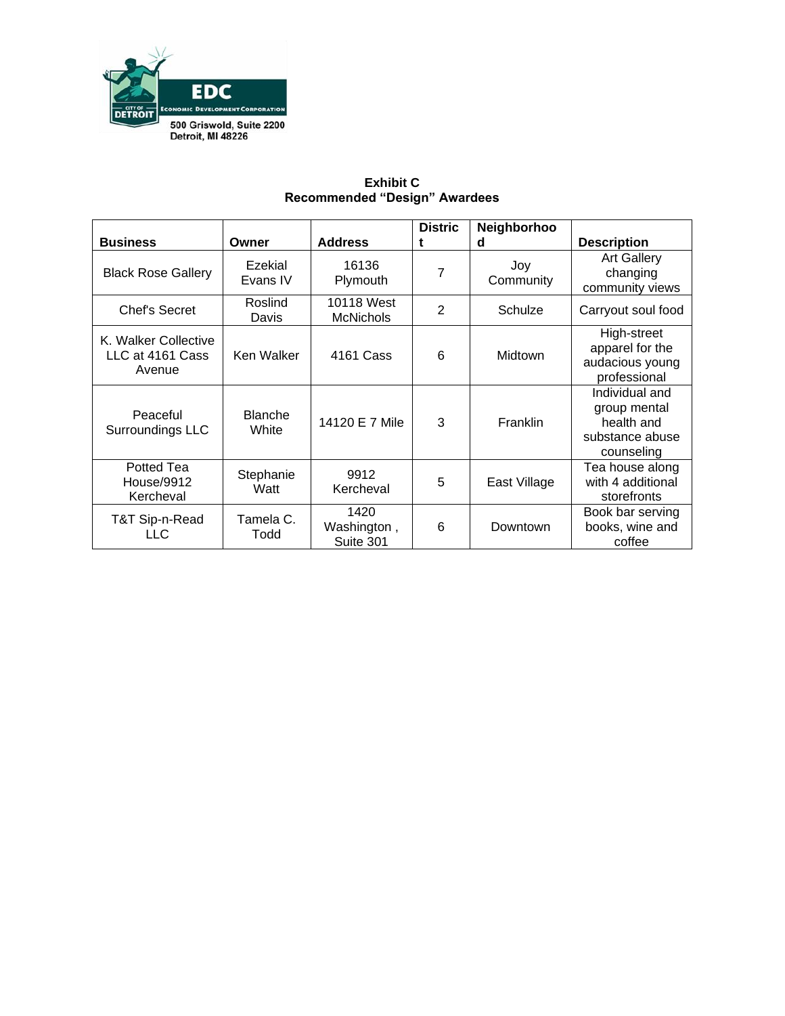

|                                                    |                         |                                  | <b>Distric</b> | <b>Neighborhoo</b> |                                                                               |
|----------------------------------------------------|-------------------------|----------------------------------|----------------|--------------------|-------------------------------------------------------------------------------|
| <b>Business</b>                                    | Owner                   | <b>Address</b>                   | t              | d                  | <b>Description</b>                                                            |
| <b>Black Rose Gallery</b>                          | Ezekial<br>Evans IV     | 16136<br>Plymouth                | 7              | Joy<br>Community   | <b>Art Gallery</b><br>changing<br>community views                             |
| Chef's Secret                                      | Roslind<br>Davis        | 10118 West<br><b>McNichols</b>   | $\overline{2}$ | Schulze            | Carryout soul food                                                            |
| K. Walker Collective<br>LLC at 4161 Cass<br>Avenue | Ken Walker              | 4161 Cass                        | 6              | Midtown            | High-street<br>apparel for the<br>audacious young<br>professional             |
| Peaceful<br>Surroundings LLC                       | <b>Blanche</b><br>White | 14120 E 7 Mile                   | 3              | Franklin           | Individual and<br>group mental<br>health and<br>substance abuse<br>counseling |
| Potted Tea<br>House/9912<br>Kercheval              | Stephanie<br>Watt       | 9912<br>Kercheval                | 5              | East Village       | Tea house along<br>with 4 additional<br>storefronts                           |
| T&T Sip-n-Read<br>LLC                              | Tamela C.<br>Todd       | 1420<br>Washington,<br>Suite 301 | 6              | Downtown           | Book bar serving<br>books, wine and<br>coffee                                 |

## **Exhibit C Recommended "Design" Awardees**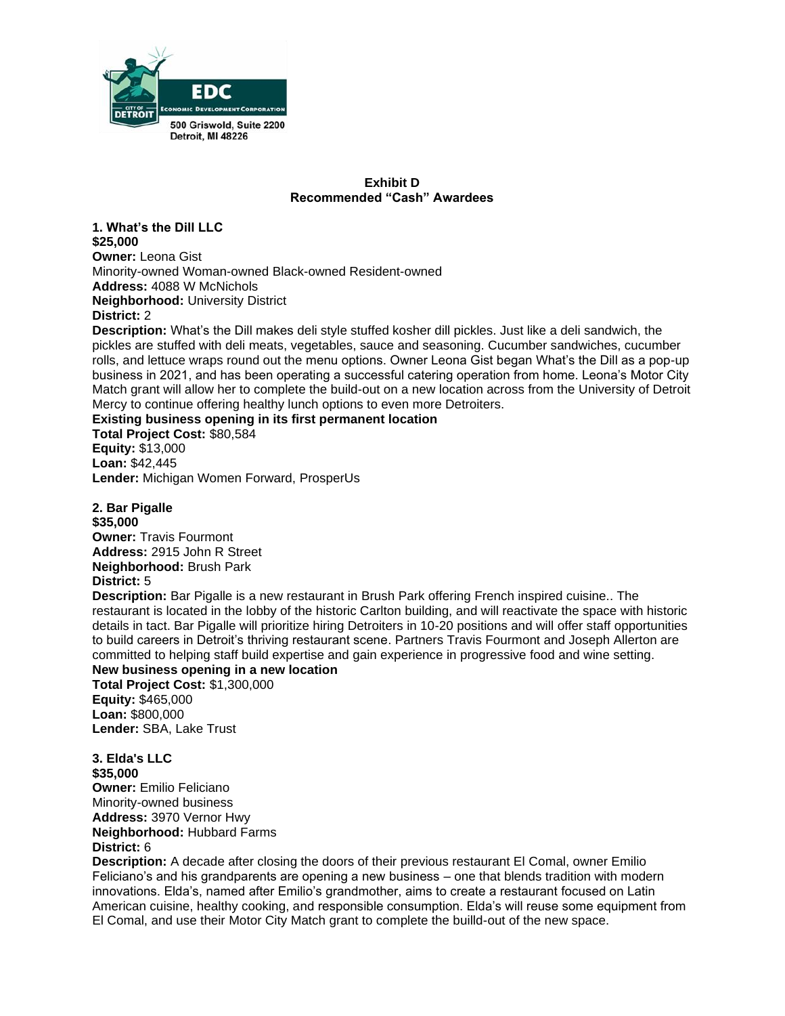

#### **Exhibit D Recommended "Cash" Awardees**

**1. What's the Dill LLC \$25,000 Owner:** Leona Gist Minority-owned Woman-owned Black-owned Resident-owned **Address:** 4088 W McNichols **Neighborhood:** University District

#### **District:** 2

**Description:** What's the Dill makes deli style stuffed kosher dill pickles. Just like a deli sandwich, the pickles are stuffed with deli meats, vegetables, sauce and seasoning. Cucumber sandwiches, cucumber rolls, and lettuce wraps round out the menu options. Owner Leona Gist began What's the Dill as a pop-up business in 2021, and has been operating a successful catering operation from home. Leona's Motor City Match grant will allow her to complete the build-out on a new location across from the University of Detroit Mercy to continue offering healthy lunch options to even more Detroiters.

### **Existing business opening in its first permanent location**

**Total Project Cost:** \$80,584 **Equity:** \$13,000 **Loan:** \$42,445 **Lender:** Michigan Women Forward, ProsperUs

**2. Bar Pigalle \$35,000 Owner:** Travis Fourmont **Address:** 2915 John R Street **Neighborhood:** Brush Park **District:** 5

**Description:** Bar Pigalle is a new restaurant in Brush Park offering French inspired cuisine.. The restaurant is located in the lobby of the historic Carlton building, and will reactivate the space with historic details in tact. Bar Pigalle will prioritize hiring Detroiters in 10-20 positions and will offer staff opportunities to build careers in Detroit's thriving restaurant scene. Partners Travis Fourmont and Joseph Allerton are committed to helping staff build expertise and gain experience in progressive food and wine setting. **New business opening in a new location**

**Total Project Cost:** \$1,300,000 **Equity:** \$465,000 **Loan:** \$800,000

**Lender:** SBA, Lake Trust

**3. Elda's LLC \$35,000 Owner:** Emilio Feliciano Minority-owned business **Address:** 3970 Vernor Hwy **Neighborhood:** Hubbard Farms **District:** 6

**Description:** A decade after closing the doors of their previous restaurant El Comal, owner Emilio Feliciano's and his grandparents are opening a new business – one that blends tradition with modern innovations. Elda's, named after Emilio's grandmother, aims to create a restaurant focused on Latin American cuisine, healthy cooking, and responsible consumption. Elda's will reuse some equipment from El Comal, and use their Motor City Match grant to complete the builld-out of the new space.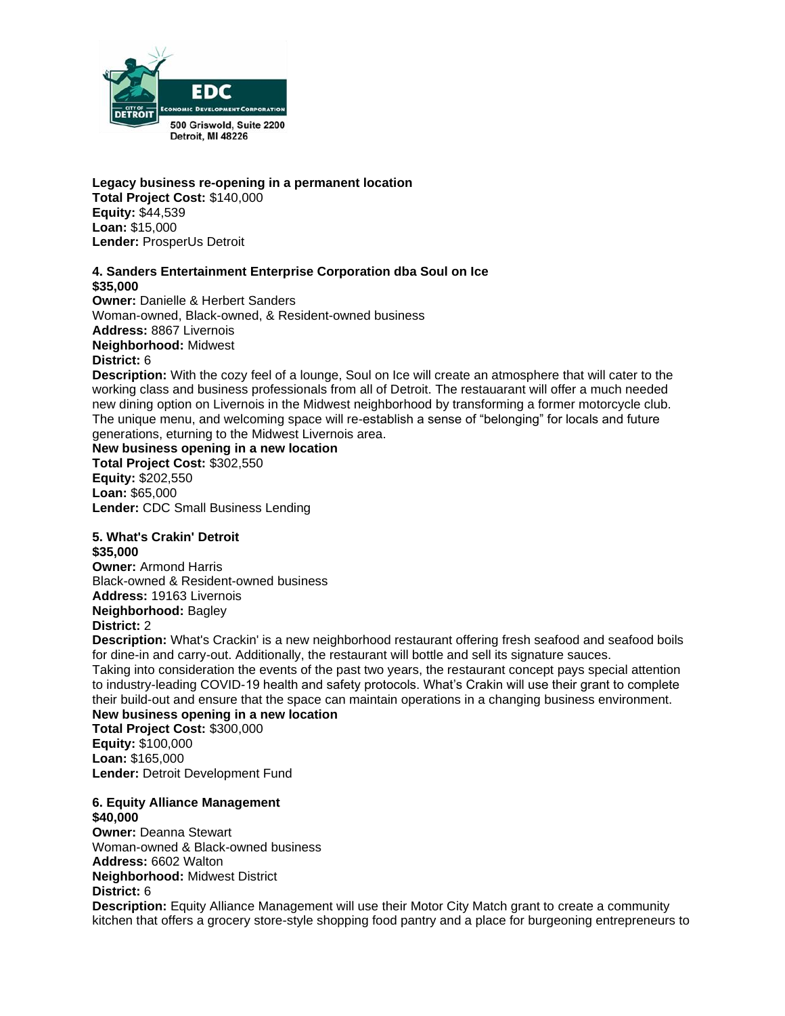

**Legacy business re-opening in a permanent location Total Project Cost:** \$140,000 **Equity:** \$44,539 **Loan:** \$15,000 **Lender:** ProsperUs Detroit

#### **4. Sanders Entertainment Enterprise Corporation dba Soul on Ice \$35,000**

**Owner: Danielle & Herbert Sanders** Woman-owned, Black-owned, & Resident-owned business **Address:** 8867 Livernois **Neighborhood:** Midwest **District:** 6 **Description:** With the cozy feel of a lounge, Soul on Ice will create an atmosphere that will cater to the

working class and business professionals from all of Detroit. The restauarant will offer a much needed new dining option on Livernois in the Midwest neighborhood by transforming a former motorcycle club. The unique menu, and welcoming space will re-establish a sense of "belonging" for locals and future generations, eturning to the Midwest Livernois area.

### **New business opening in a new location**

**Total Project Cost:** \$302,550 **Equity:** \$202,550 **Loan:** \$65,000 **Lender:** CDC Small Business Lending

# **5. What's Crakin' Detroit**

**\$35,000 Owner:** Armond Harris Black-owned & Resident-owned business **Address:** 19163 Livernois **Neighborhood:** Bagley **District:** 2

**Description:** What's Crackin' is a new neighborhood restaurant offering fresh seafood and seafood boils for dine-in and carry-out. Additionally, the restaurant will bottle and sell its signature sauces.

Taking into consideration the events of the past two years, the restaurant concept pays special attention to industry-leading COVID-19 health and safety protocols. What's Crakin will use their grant to complete their build-out and ensure that the space can maintain operations in a changing business environment. **New business opening in a new location**

**Total Project Cost:** \$300,000 **Equity:** \$100,000 **Loan:** \$165,000 **Lender:** Detroit Development Fund

#### **6. Equity Alliance Management \$40,000**

**Owner:** Deanna Stewart Woman-owned & Black-owned business **Address:** 6602 Walton **Neighborhood:** Midwest District **District:** 6

**Description:** Equity Alliance Management will use their Motor City Match grant to create a community kitchen that offers a grocery store-style shopping food pantry and a place for burgeoning entrepreneurs to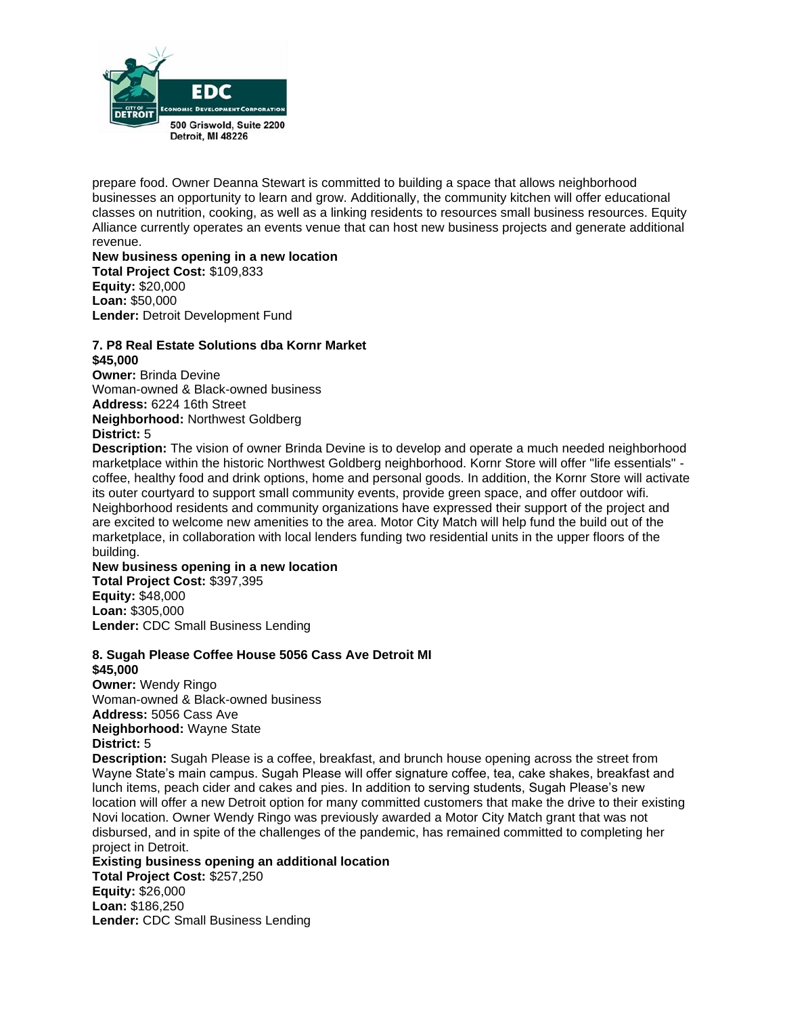

prepare food. Owner Deanna Stewart is committed to building a space that allows neighborhood businesses an opportunity to learn and grow. Additionally, the community kitchen will offer educational classes on nutrition, cooking, as well as a linking residents to resources small business resources. Equity Alliance currently operates an events venue that can host new business projects and generate additional revenue.

#### **New business opening in a new location Total Project Cost:** \$109,833 **Equity:** \$20,000 **Loan:** \$50,000 **Lender:** Detroit Development Fund

#### **7. P8 Real Estate Solutions dba Kornr Market \$45,000**

**Owner:** Brinda Devine Woman-owned & Black-owned business **Address:** 6224 16th Street **Neighborhood:** Northwest Goldberg **District:** 5

**Description:** The vision of owner Brinda Devine is to develop and operate a much needed neighborhood marketplace within the historic Northwest Goldberg neighborhood. Kornr Store will offer "life essentials" coffee, healthy food and drink options, home and personal goods. In addition, the Kornr Store will activate its outer courtyard to support small community events, provide green space, and offer outdoor wifi. Neighborhood residents and community organizations have expressed their support of the project and are excited to welcome new amenities to the area. Motor City Match will help fund the build out of the marketplace, in collaboration with local lenders funding two residential units in the upper floors of the building.

#### **New business opening in a new location**

**Total Project Cost:** \$397,395 **Equity:** \$48,000 **Loan:** \$305,000 **Lender:** CDC Small Business Lending

#### **8. Sugah Please Coffee House 5056 Cass Ave Detroit MI \$45,000**

**Owner:** Wendy Ringo Woman-owned & Black-owned business **Address:** 5056 Cass Ave **Neighborhood:** Wayne State **District:** 5

**Description:** Sugah Please is a coffee, breakfast, and brunch house opening across the street from Wayne State's main campus. Sugah Please will offer signature coffee, tea, cake shakes, breakfast and lunch items, peach cider and cakes and pies. In addition to serving students, Sugah Please's new location will offer a new Detroit option for many committed customers that make the drive to their existing Novi location. Owner Wendy Ringo was previously awarded a Motor City Match grant that was not disbursed, and in spite of the challenges of the pandemic, has remained committed to completing her project in Detroit.

## **Existing business opening an additional location**

**Total Project Cost:** \$257,250 **Equity:** \$26,000 **Loan:** \$186,250 **Lender:** CDC Small Business Lending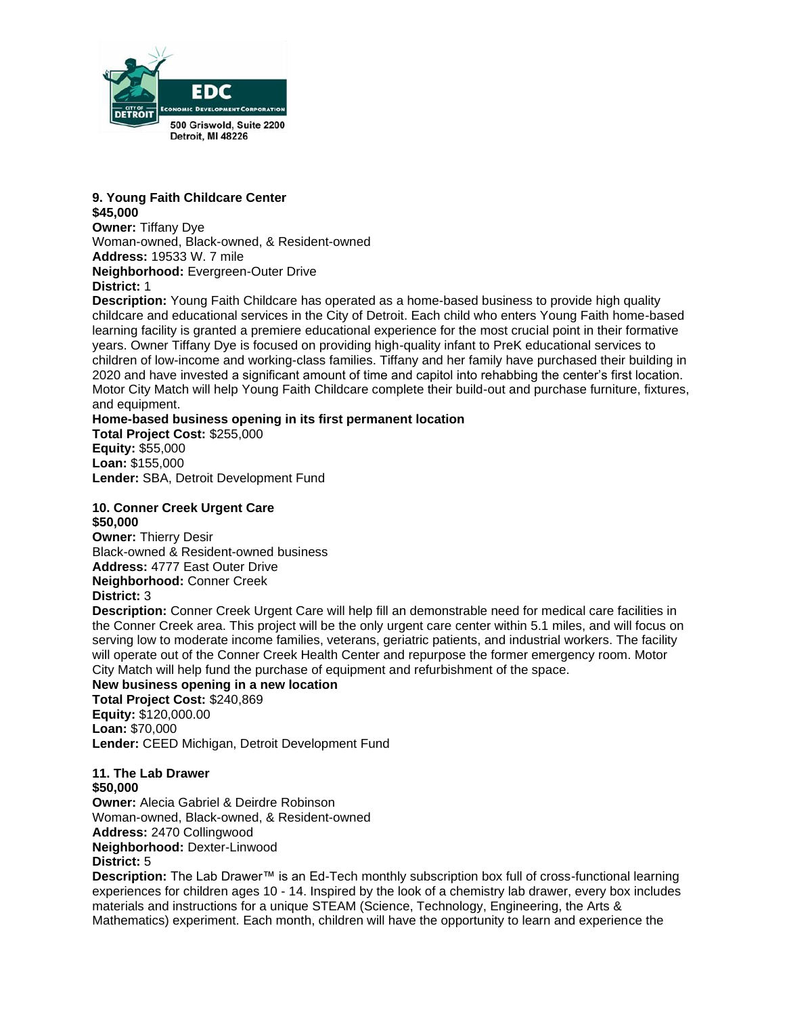

#### **9. Young Faith Childcare Center \$45,000**

**Owner:** Tiffany Dye Woman-owned, Black-owned, & Resident-owned **Address:** 19533 W. 7 mile **Neighborhood:** Evergreen-Outer Drive **District:** 1

**Description:** Young Faith Childcare has operated as a home-based business to provide high quality childcare and educational services in the City of Detroit. Each child who enters Young Faith home-based learning facility is granted a premiere educational experience for the most crucial point in their formative years. Owner Tiffany Dye is focused on providing high-quality infant to PreK educational services to children of low-income and working-class families. Tiffany and her family have purchased their building in 2020 and have invested a significant amount of time and capitol into rehabbing the center's first location. Motor City Match will help Young Faith Childcare complete their build-out and purchase furniture, fixtures, and equipment.

### **Home-based business opening in its first permanent location**

**Total Project Cost:** \$255,000 **Equity:** \$55,000 **Loan:** \$155,000 **Lender:** SBA, Detroit Development Fund

#### **10. Conner Creek Urgent Care \$50,000**

**Owner:** Thierry Desir Black-owned & Resident-owned business **Address:** 4777 East Outer Drive **Neighborhood:** Conner Creek **District:** 3

**Description:** Conner Creek Urgent Care will help fill an demonstrable need for medical care facilities in the Conner Creek area. This project will be the only urgent care center within 5.1 miles, and will focus on serving low to moderate income families, veterans, geriatric patients, and industrial workers. The facility will operate out of the Conner Creek Health Center and repurpose the former emergency room. Motor City Match will help fund the purchase of equipment and refurbishment of the space.

#### **New business opening in a new location**

**Total Project Cost:** \$240,869 **Equity:** \$120,000.00 **Loan:** \$70,000 **Lender:** CEED Michigan, Detroit Development Fund

**11. The Lab Drawer \$50,000 Owner:** Alecia Gabriel & Deirdre Robinson Woman-owned, Black-owned, & Resident-owned **Address:** 2470 Collingwood **Neighborhood:** Dexter-Linwood **District:** 5

**Description:** The Lab Drawer™ is an Ed-Tech monthly subscription box full of cross-functional learning experiences for children ages 10 - 14. Inspired by the look of a chemistry lab drawer, every box includes materials and instructions for a unique STEAM (Science, Technology, Engineering, the Arts & Mathematics) experiment. Each month, children will have the opportunity to learn and experience the